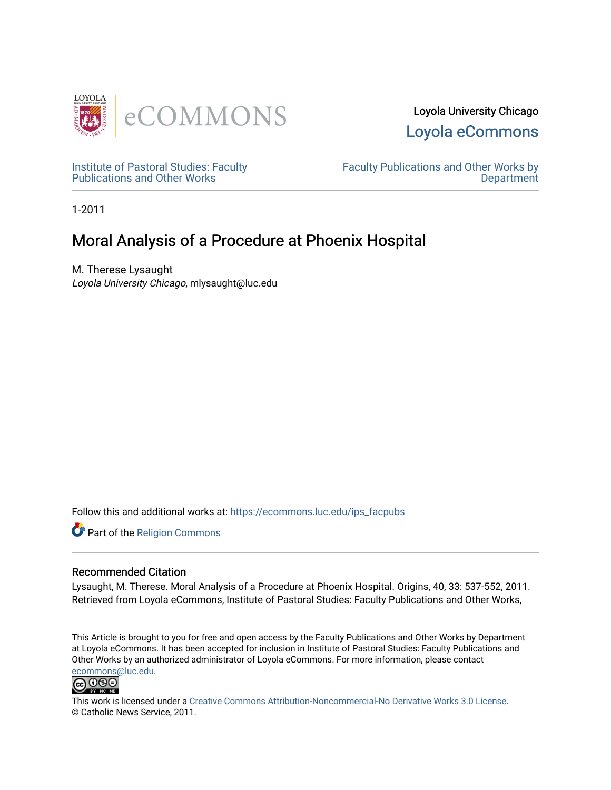

## Loyola University Chicago [Loyola eCommons](https://ecommons.luc.edu/)

[Institute of Pastoral Studies: Faculty](https://ecommons.luc.edu/ips_facpubs)  [Publications and Other Works](https://ecommons.luc.edu/ips_facpubs) 

[Faculty Publications and Other Works by](https://ecommons.luc.edu/faculty)  **Department** 

1-2011

## Moral Analysis of a Procedure at Phoenix Hospital

M. Therese Lysaught Loyola University Chicago, mlysaught@luc.edu

Follow this and additional works at: [https://ecommons.luc.edu/ips\\_facpubs](https://ecommons.luc.edu/ips_facpubs?utm_source=ecommons.luc.edu%2Fips_facpubs%2F25&utm_medium=PDF&utm_campaign=PDFCoverPages)

Part of the [Religion Commons](http://network.bepress.com/hgg/discipline/538?utm_source=ecommons.luc.edu%2Fips_facpubs%2F25&utm_medium=PDF&utm_campaign=PDFCoverPages)

### Recommended Citation

Lysaught, M. Therese. Moral Analysis of a Procedure at Phoenix Hospital. Origins, 40, 33: 537-552, 2011. Retrieved from Loyola eCommons, Institute of Pastoral Studies: Faculty Publications and Other Works,

This Article is brought to you for free and open access by the Faculty Publications and Other Works by Department at Loyola eCommons. It has been accepted for inclusion in Institute of Pastoral Studies: Faculty Publications and Other Works by an authorized administrator of Loyola eCommons. For more information, please contact [ecommons@luc.edu](mailto:ecommons@luc.edu).



This work is licensed under a [Creative Commons Attribution-Noncommercial-No Derivative Works 3.0 License.](https://creativecommons.org/licenses/by-nc-nd/3.0/) © Catholic News Service, 2011.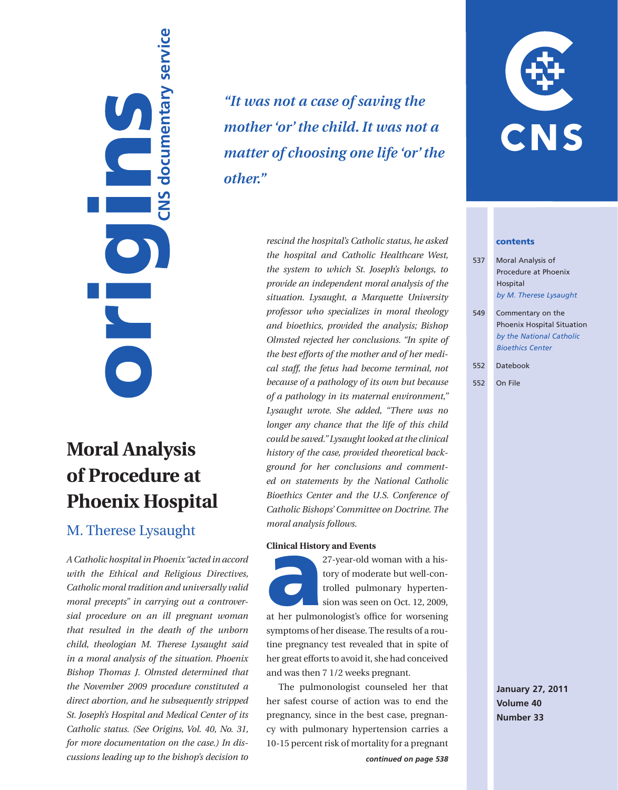# *"It was not a case of saving the mother 'or' the child. It was not a matter of choosing one life 'or' the other."*

*rescind the hospital's Catholic status, he asked* **contents** *the hospital and Catholic Healthcare West, the system to which St. Joseph's belongs, to provide an independent moral analysis of the situation. Lysaught, a Marquette University professor who specializes in moral theology and bioethics, provided the analysis; Bishop Olmsted rejected her conclusions. "In spite of the best efforts of the mother and of her medical staff, the fetus had become terminal, not because of a pathology of its own but because of a pathology in its maternal environment," Lysaught wrote. She added, "There was no longer any chance that the life of this child could be saved." Lysaught looked at the clinical history of the case, provided theoretical background for her conclusions and commented on statements by the National Catholic Bioethics Center and the U.S. Conference of Catholic Bishops' Committee on Doctrine. The moral analysis follows.*

#### **Clinical History and Events**

Clinical History and Events<br>
<sup>27-year-old woman with a his-</sup><br>
tory of moderate but well-con-<br>
trolled pulmonary hyperten-<br>
sion was seen on Oct. 12, 2009,<br>
at her pulmonologist's office for worsening tory of moderate but well-controlled pulmonary hypertension was seen on Oct. 12, 2009, symptoms of her disease. The results of a routine pregnancy test revealed that in spite of her great efforts to avoid it, she had conceived and was then 7 1/2 weeks pregnant.

The pulmonologist counseled her that her safest course of action was to end the pregnancy, since in the best case, pregnancy with pulmonary hypertension carries a 10-15 percent risk of mortality for a pregnant *continued on page 538*



- 537 Moral Analysis of Procedure at Phoenix Hospital *by M. Therese Lysaught*
- 549 Commentary on the Phoenix Hospital Situation *by the National Catholic Bioethics Center*
- 552 Datebook
- 552 On File

**Moral Analysis of Procedure at Phoenix Hospital**

 $\overline{\phantom{a}}$ 

**CNS documentary service**

documentary service

### M. Therese Lysaught

*A Catholic hospital in Phoenix "acted in accord with the Ethical and Religious Directives, Catholic moral tradition and universally valid moral precepts" in carrying out a controversial procedure on an ill pregnant woman that resulted in the death of the unborn child, theologian M. Therese Lysaught said in a moral analysis of the situation. Phoenix Bishop Thomas J. Olmsted determined that the November 2009 procedure constituted a direct abortion, and he subsequently stripped St. Joseph's Hospital and Medical Center of its Catholic status. (See Origins, Vol. 40, No. 31, for more documentation on the case.) In discussions leading up to the bishop's decision to* 

**January 27, 2011 Volume 40 Number 33**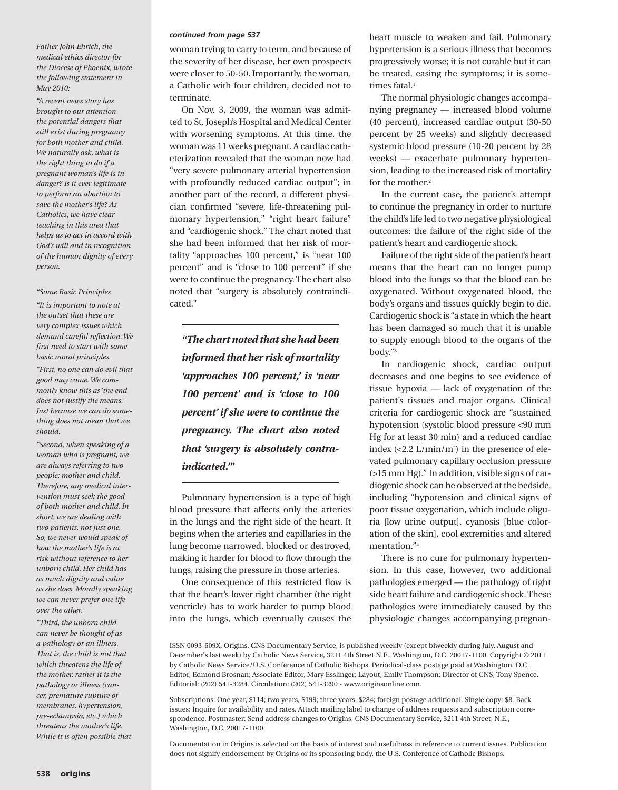*Father John Ehrich, the medical ethics director for the Diocese of Phoenix, wrote the following statement in May 2010:*

*"A recent news story has brought to our attention the potential dangers that still exist during pregnancy for both mother and child. We naturally ask, what is the right thing to do if a pregnant woman's life is in danger? Is it ever legitimate to perform an abortion to save the mother's life? As Catholics, we have clear teaching in this area that helps us to act in accord with God's will and in recognition of the human dignity of every person.*

#### *"Some Basic Principles*

*"It is important to note at the outset that these are very complex issues which demand careful reflection. We first need to start with some basic moral principles.*

*"First, no one can do evil that good may come. We commonly know this as 'the end does not justify the means.' Just because we can do something does not mean that we should.*

*"Second, when speaking of a woman who is pregnant, we are always referring to two people: mother and child. Therefore, any medical intervention must seek the good of both mother and child. In short, we are dealing with two patients, not just one. So, we never would speak of how the mother's life is at risk without reference to her unborn child. Her child has as much dignity and value as she does. Morally speaking we can never prefer one life over the other.*

*"Third, the unborn child can never be thought of as a pathology or an illness. That is, the child is not that which threatens the life of the mother, rather it is the pathology or illness (cancer, premature rupture of membranes, hypertension, pre-eclampsia, etc.) which threatens the mother's life. While it is often possible that* 

#### *continued from page 537*

woman trying to carry to term, and because of the severity of her disease, her own prospects were closer to 50-50. Importantly, the woman, a Catholic with four children, decided not to terminate.

On Nov. 3, 2009, the woman was admitted to St. Joseph's Hospital and Medical Center with worsening symptoms. At this time, the woman was 11 weeks pregnant. A cardiac catheterization revealed that the woman now had "very severe pulmonary arterial hypertension with profoundly reduced cardiac output"; in another part of the record, a different physician confirmed "severe, life-threatening pulmonary hypertension," "right heart failure" and "cardiogenic shock." The chart noted that she had been informed that her risk of mortality "approaches 100 percent," is "near 100 percent" and is "close to 100 percent" if she were to continue the pregnancy. The chart also noted that "surgery is absolutely contraindicated."

*"The chart noted that she had been informed that her risk of mortality 'approaches 100 percent,' is 'near 100 percent' and is 'close to 100 percent' if she were to continue the pregnancy. The chart also noted that 'surgery is absolutely contraindicated.'"*

Pulmonary hypertension is a type of high blood pressure that affects only the arteries in the lungs and the right side of the heart. It begins when the arteries and capillaries in the lung become narrowed, blocked or destroyed, making it harder for blood to flow through the lungs, raising the pressure in those arteries.

One consequence of this restricted flow is that the heart's lower right chamber (the right ventricle) has to work harder to pump blood into the lungs, which eventually causes the heart muscle to weaken and fail. Pulmonary hypertension is a serious illness that becomes progressively worse; it is not curable but it can be treated, easing the symptoms; it is sometimes fatal.<sup>1</sup>

The normal physiologic changes accompanying pregnancy — increased blood volume (40 percent), increased cardiac output (30-50 percent by 25 weeks) and slightly decreased systemic blood pressure (10-20 percent by 28 weeks) — exacerbate pulmonary hypertension, leading to the increased risk of mortality for the mother.<sup>2</sup>

In the current case, the patient's attempt to continue the pregnancy in order to nurture the child's life led to two negative physiological outcomes: the failure of the right side of the patient's heart and cardiogenic shock.

Failure of the right side of the patient's heart means that the heart can no longer pump blood into the lungs so that the blood can be oxygenated. Without oxygenated blood, the body's organs and tissues quickly begin to die. Cardiogenic shock is "a state in which the heart has been damaged so much that it is unable to supply enough blood to the organs of the body."<sup>3</sup>

In cardiogenic shock, cardiac output decreases and one begins to see evidence of tissue hypoxia — lack of oxygenation of the patient's tissues and major organs. Clinical criteria for cardiogenic shock are "sustained hypotension (systolic blood pressure <90 mm Hg for at least 30 min) and a reduced cardiac index (<2.2 L/min/m<sup>2</sup> ) in the presence of elevated pulmonary capillary occlusion pressure (>15 mm Hg)." In addition, visible signs of cardiogenic shock can be observed at the bedside, including "hypotension and clinical signs of poor tissue oxygenation, which include oliguria [low urine output], cyanosis [blue coloration of the skin], cool extremities and altered mentation."<sup>4</sup>

There is no cure for pulmonary hypertension. In this case, however, two additional pathologies emerged — the pathology of right side heart failure and cardiogenic shock. These pathologies were immediately caused by the physiologic changes accompanying pregnan-

Subscriptions: One year, \$114; two years, \$199; three years, \$284; foreign postage additional. Single copy: \$8. Back issues: Inquire for availability and rates. Attach mailing label to change of address requests and subscription correspondence. Postmaster: Send address changes to Origins, CNS Documentary Service, 3211 4th Street, N.E., Washington, D.C. 20017-1100.

Documentation in Origins is selected on the basis of interest and usefulness in reference to current issues. Publication does not signify endorsement by Origins or its sponsoring body, the U.S. Conference of Catholic Bishops.

ISSN 0093-609X, Origins, CNS Documentary Service, is published weekly (except biweekly during July, August and December's last week) by Catholic News Service, 3211 4th Street N.E., Washington, D.C. 20017-1100. Copyright © 2011 by Catholic News Service/U.S. Conference of Catholic Bishops. Periodical-class postage paid at Washington, D.C. Editor, Edmond Brosnan; Associate Editor, Mary Esslinger; Layout, Emily Thompson; Director of CNS, Tony Spence. Editorial: (202) 541-3284. Circulation: (202) 541-3290 - www.originsonline.com.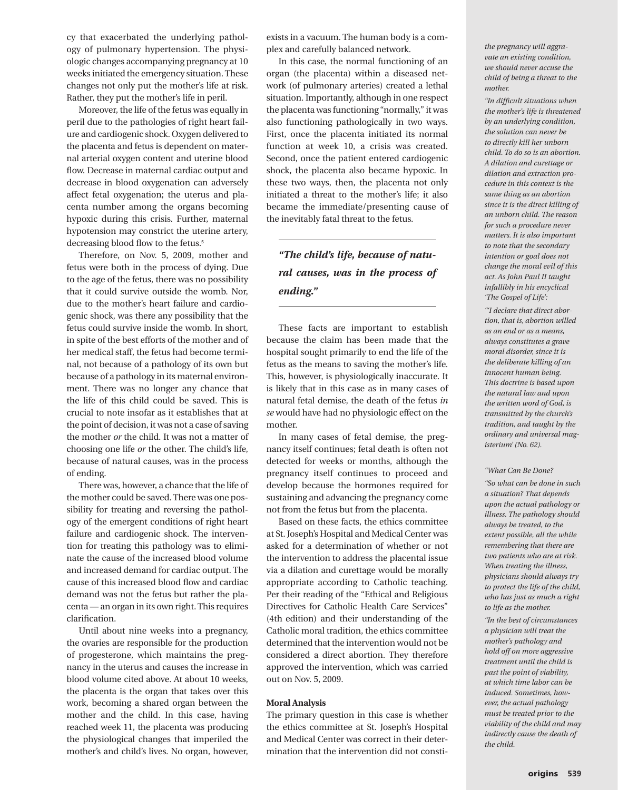cy that exacerbated the underlying pathology of pulmonary hypertension. The physiologic changes accompanying pregnancy at 10 weeks initiated the emergency situation. These changes not only put the mother's life at risk. Rather, they put the mother's life in peril.

Moreover, the life of the fetus was equally in peril due to the pathologies of right heart failure and cardiogenic shock. Oxygen delivered to the placenta and fetus is dependent on maternal arterial oxygen content and uterine blood flow. Decrease in maternal cardiac output and decrease in blood oxygenation can adversely affect fetal oxygenation; the uterus and placenta number among the organs becoming hypoxic during this crisis. Further, maternal hypotension may constrict the uterine artery, decreasing blood flow to the fetus.<sup>5</sup>

Therefore, on Nov. 5, 2009, mother and fetus were both in the process of dying. Due to the age of the fetus, there was no possibility that it could survive outside the womb. Nor, due to the mother's heart failure and cardiogenic shock, was there any possibility that the fetus could survive inside the womb. In short, in spite of the best efforts of the mother and of her medical staff, the fetus had become terminal, not because of a pathology of its own but because of a pathology in its maternal environment. There was no longer any chance that the life of this child could be saved. This is crucial to note insofar as it establishes that at the point of decision, it was not a case of saving the mother *or* the child. It was not a matter of choosing one life *or* the other. The child's life, because of natural causes, was in the process of ending.

There was, however, a chance that the life of the mother could be saved. There was one possibility for treating and reversing the pathology of the emergent conditions of right heart failure and cardiogenic shock. The intervention for treating this pathology was to eliminate the cause of the increased blood volume and increased demand for cardiac output. The cause of this increased blood flow and cardiac demand was not the fetus but rather the placenta — an organ in its own right. This requires clarification.

Until about nine weeks into a pregnancy, the ovaries are responsible for the production of progesterone, which maintains the pregnancy in the uterus and causes the increase in blood volume cited above. At about 10 weeks, the placenta is the organ that takes over this work, becoming a shared organ between the mother and the child. In this case, having reached week 11, the placenta was producing the physiological changes that imperiled the mother's and child's lives. No organ, however,

exists in a vacuum. The human body is a complex and carefully balanced network.

In this case, the normal functioning of an organ (the placenta) within a diseased network (of pulmonary arteries) created a lethal situation. Importantly, although in one respect the placenta was functioning "normally," it was also functioning pathologically in two ways. First, once the placenta initiated its normal function at week 10, a crisis was created. Second, once the patient entered cardiogenic shock, the placenta also became hypoxic. In these two ways, then, the placenta not only initiated a threat to the mother's life; it also became the immediate/presenting cause of the inevitably fatal threat to the fetus.

*"The child's life, because of natural causes, was in the process of ending."*

These facts are important to establish because the claim has been made that the hospital sought primarily to end the life of the fetus as the means to saving the mother's life. This, however, is physiologically inaccurate. It is likely that in this case as in many cases of natural fetal demise, the death of the fetus *in se* would have had no physiologic effect on the mother.

In many cases of fetal demise, the pregnancy itself continues; fetal death is often not detected for weeks or months, although the pregnancy itself continues to proceed and develop because the hormones required for sustaining and advancing the pregnancy come not from the fetus but from the placenta.

Based on these facts, the ethics committee at St. Joseph's Hospital and Medical Center was asked for a determination of whether or not the intervention to address the placental issue via a dilation and curettage would be morally appropriate according to Catholic teaching. Per their reading of the "Ethical and Religious Directives for Catholic Health Care Services" (4th edition) and their understanding of the Catholic moral tradition, the ethics committee determined that the intervention would not be considered a direct abortion. They therefore approved the intervention, which was carried out on Nov. 5, 2009.

#### **Moral Analysis**

The primary question in this case is whether the ethics committee at St. Joseph's Hospital and Medical Center was correct in their determination that the intervention did not consti-

*the pregnancy will aggravate an existing condition, we should never accuse the child of being a threat to the mother.*

*"In difficult situations when the mother's life is threatened by an underlying condition, the solution can never be to directly kill her unborn child. To do so is an abortion. A dilation and curettage or dilation and extraction procedure in this context is the same thing as an abortion since it is the direct killing of an unborn child. The reason for such a procedure never matters. It is also important to note that the secondary intention or goal does not change the moral evil of this act. As John Paul II taught infallibly in his encyclical 'The Gospel of Life':*

*"'I declare that direct abortion, that is, abortion willed as an end or as a means, always constitutes a grave moral disorder, since it is the deliberate killing of an innocent human being. This doctrine is based upon the natural law and upon the written word of God, is transmitted by the church's tradition, and taught by the ordinary and universal magisterium' (No. 62).*

#### *"What Can Be Done?*

*"So what can be done in such a situation? That depends upon the actual pathology or illness. The pathology should always be treated, to the extent possible, all the while remembering that there are two patients who are at risk. When treating the illness, physicians should always try to protect the life of the child, who has just as much a right to life as the mother.*

*"In the best of circumstances a physician will treat the mother's pathology and hold off on more aggressive treatment until the child is past the point of viability, at which time labor can be induced. Sometimes, however, the actual pathology must be treated prior to the viability of the child and may indirectly cause the death of the child.*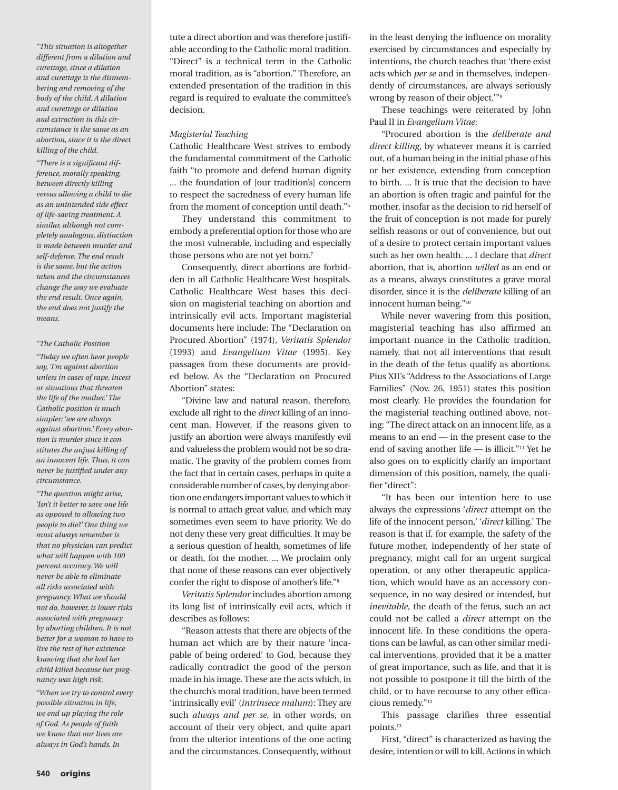*"This situation is altogether different from a dilation and curettage, since a dilation and curettage is the dismembering and removing of the body of the child. A dilation and curettage or dilation and extraction in this circumstance is the same as an abortion, since it is the direct killing of the child.*

*"There is a significant difference, morally speaking, between directly killing versus allowing a child to die as an unintended side effect of life-saving treatment. A similar, although not completely analogous, distinction is made between murder and self-defense. The end result is the same, but the action taken and the circumstances change the way we evaluate the end result. Once again, the end does not justify the means.*

#### *"The Catholic Position*

*"Today we often hear people say, 'I'm against abortion unless in cases of rape, incest or situations that threaten the life of the mother.' The Catholic position is much simpler; 'we are always against abortion.' Every abortion is murder since it constitutes the unjust killing of an innocent life. Thus, it can never be justified under any circumstance.*

*"The question might arise, 'Isn't it better to save one life as opposed to allowing two people to die?' One thing we must always remember is that no physician can predict what will happen with 100 percent accuracy. We will never be able to eliminate all risks associated with pregnancy. What we should not do, however, is lower risks associated with pregnancy by aborting children. It is not better for a woman to have to live the rest of her existence knowing that she had her child killed because her pregnancy was high risk.*

*"When we try to control every possible situation in life, we end up playing the role of God. As people of faith we know that our lives are always in God's hands. In* 

tute a direct abortion and was therefore justifiable according to the Catholic moral tradition. "Direct" is a technical term in the Catholic moral tradition, as is "abortion." Therefore, an extended presentation of the tradition in this regard is required to evaluate the committee's decision.

#### *Magisterial Teaching*

Catholic Healthcare West strives to embody the fundamental commitment of the Catholic faith "to promote and defend human dignity ... the foundation of [our tradition's] concern to respect the sacredness of every human life from the moment of conception until death."<sup>6</sup>

They understand this commitment to embody a preferential option for those who are the most vulnerable, including and especially those persons who are not yet born.<sup>7</sup>

Consequently, direct abortions are forbidden in all Catholic Healthcare West hospitals. Catholic Healthcare West bases this decision on magisterial teaching on abortion and intrinsically evil acts. Important magisterial documents here include: The "Declaration on Procured Abortion" (1974), *Veritatis Splendor*  (1993) and *Evangelium Vitae* (1995). Key passages from these documents are provided below. As the "Declaration on Procured Abortion" states:

"Divine law and natural reason, therefore, exclude all right to the *direct* killing of an innocent man. However, if the reasons given to justify an abortion were always manifestly evil and valueless the problem would not be so dramatic. The gravity of the problem comes from the fact that in certain cases, perhaps in quite a considerable number of cases, by denying abortion one endangers important values to which it is normal to attach great value, and which may sometimes even seem to have priority. We do not deny these very great difficulties. It may be a serious question of health, sometimes of life or death, for the mother. ... We proclaim only that none of these reasons can ever objectively confer the right to dispose of another's life."<sup>8</sup>

*Veritatis Splendor* includes abortion among its long list of intrinsically evil acts, which it describes as follows:

"Reason attests that there are objects of the human act which are by their nature 'incapable of being ordered' to God, because they radically contradict the good of the person made in his image. These are the acts which, in the church's moral tradition, have been termed 'intrinsically evil' (*intrinsece malum*): They are such *always and per se,* in other words, on account of their very object, and quite apart from the ulterior intentions of the one acting and the circumstances. Consequently, without in the least denying the influence on morality exercised by circumstances and especially by intentions, the church teaches that 'there exist acts which *per se* and in themselves, independently of circumstances, are always seriously wrong by reason of their object.'"<sup>9</sup>

These teachings were reiterated by John Paul II in *Evangelium Vitae*:

"Procured abortion is the *deliberate and direct killing*, by whatever means it is carried out, of a human being in the initial phase of his or her existence, extending from conception to birth. ... It is true that the decision to have an abortion is often tragic and painful for the mother, insofar as the decision to rid herself of the fruit of conception is not made for purely selfish reasons or out of convenience, but out of a desire to protect certain important values such as her own health. ... I declare that *direct*  abortion, that is, abortion *willed* as an end or as a means, always constitutes a grave moral disorder, since it is the *deliberate* killing of an innocent human being."<sup>10</sup>

While never wavering from this position, magisterial teaching has also affirmed an important nuance in the Catholic tradition, namely, that not all interventions that result in the death of the fetus qualify as abortions. Pius XII's "Address to the Associations of Large Families" (Nov. 26, 1951) states this position most clearly. He provides the foundation for the magisterial teaching outlined above, noting: "The direct attack on an innocent life, as a means to an end — in the present case to the end of saving another life — is illicit."<sup>11</sup> Yet he also goes on to explicitly clarify an important dimension of this position, namely, the qualifier "direct":

"It has been our intention here to use always the expressions '*direct* attempt on the life of the innocent person,' '*direct* killing.' The reason is that if, for example, the safety of the future mother, independently of her state of pregnancy, might call for an urgent surgical operation, or any other therapeutic application, which would have as an accessory consequence, in no way desired or intended, but *inevitable*, the death of the fetus, such an act could not be called a *direct* attempt on the innocent life. In these conditions the operations can be lawful, as can other similar medical interventions, provided that it be a matter of great importance, such as life, and that it is not possible to postpone it till the birth of the child, or to have recourse to any other efficacious remedy."<sup>12</sup>

This passage clarifies three essential points.<sup>13</sup>

First, "direct" is characterized as having the desire, intention or will to kill. Actions in which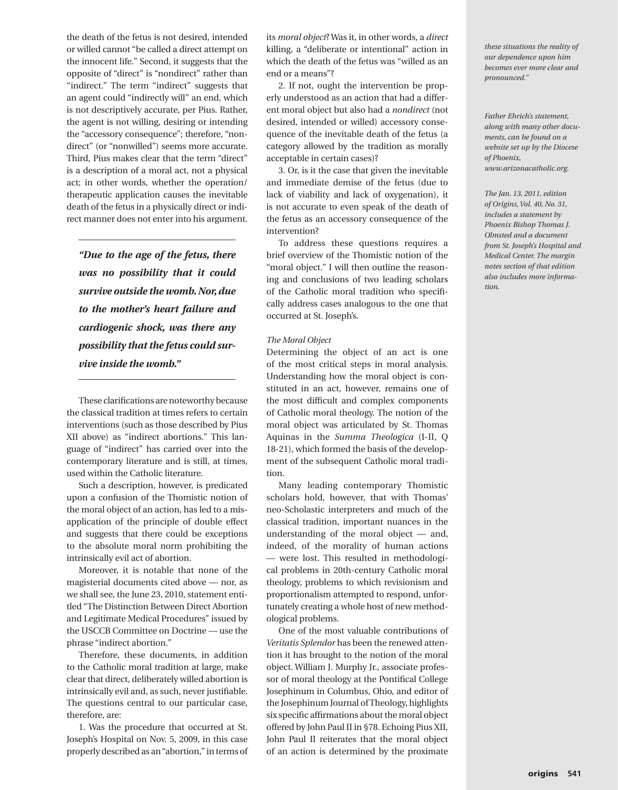the death of the fetus is not desired, intended or willed cannot "be called a direct attempt on the innocent life." Second, it suggests that the opposite of "direct" is "nondirect" rather than "indirect." The term "indirect" suggests that an agent could "indirectly will" an end, which is not descriptively accurate, per Pius. Rather, the agent is not willing, desiring or intending the "accessory consequence"; therefore, "nondirect" (or "nonwilled") seems more accurate. Third, Pius makes clear that the term "direct" is a description of a moral act, not a physical act; in other words, whether the operation/ therapeutic application causes the inevitable death of the fetus in a physically direct or indirect manner does not enter into his argument.

*"Due to the age of the fetus, there was no possibility that it could survive outside the womb. Nor, due to the mother's heart failure and cardiogenic shock, was there any possibility that the fetus could survive inside the womb."*

These clarifications are noteworthy because the classical tradition at times refers to certain interventions (such as those described by Pius XII above) as "indirect abortions." This language of "indirect" has carried over into the contemporary literature and is still, at times, used within the Catholic literature.

Such a description, however, is predicated upon a confusion of the Thomistic notion of the moral object of an action, has led to a misapplication of the principle of double effect and suggests that there could be exceptions to the absolute moral norm prohibiting the intrinsically evil act of abortion.

Moreover, it is notable that none of the magisterial documents cited above — nor, as we shall see, the June 23, 2010, statement entitled "The Distinction Between Direct Abortion and Legitimate Medical Procedures" issued by the USCCB Committee on Doctrine — use the phrase "indirect abortion."

Therefore, these documents, in addition to the Catholic moral tradition at large, make clear that direct, deliberately willed abortion is intrinsically evil and, as such, never justifiable. The questions central to our particular case, therefore, are:

1. Was the procedure that occurred at St. Joseph's Hospital on Nov. 5, 2009, in this case properly described as an "abortion," in terms of its *moral object*? Was it, in other words, a *direct*  killing, a "deliberate or intentional" action in which the death of the fetus was "willed as an end or a means"?

2. If not, ought the intervention be properly understood as an action that had a different moral object but also had a *nondirect* (not desired, intended or willed) accessory consequence of the inevitable death of the fetus (a category allowed by the tradition as morally acceptable in certain cases)?

3. Or, is it the case that given the inevitable and immediate demise of the fetus (due to lack of viability and lack of oxygenation), it is not accurate to even speak of the death of the fetus as an accessory consequence of the intervention?

To address these questions requires a brief overview of the Thomistic notion of the "moral object." I will then outline the reasoning and conclusions of two leading scholars of the Catholic moral tradition who specifically address cases analogous to the one that occurred at St. Joseph's.

#### *The Moral Object*

Determining the object of an act is one of the most critical steps in moral analysis. Understanding how the moral object is constituted in an act, however, remains one of the most difficult and complex components of Catholic moral theology. The notion of the moral object was articulated by St. Thomas Aquinas in the *Summa Theologica* (I-II, Q 18-21), which formed the basis of the development of the subsequent Catholic moral tradition.

Many leading contemporary Thomistic scholars hold, however, that with Thomas' neo-Scholastic interpreters and much of the classical tradition, important nuances in the understanding of the moral object — and, indeed, of the morality of human actions — were lost. This resulted in methodological problems in 20th-century Catholic moral theology, problems to which revisionism and proportionalism attempted to respond, unfortunately creating a whole host of new methodological problems.

One of the most valuable contributions of *Veritatis Splendor* has been the renewed attention it has brought to the notion of the moral object. William J. Murphy Jr., associate professor of moral theology at the Pontifical College Josephinum in Columbus, Ohio, and editor of the Josephinum Journal of Theology, highlights six specific affirmations about the moral object offered by John Paul II in §78. Echoing Pius XII, John Paul II reiterates that the moral object of an action is determined by the proximate

*these situations the reality of our dependence upon him becomes ever more clear and pronounced."*

*Father Ehrich's statement, along with many other documents, can be found on a website set up by the Diocese of Phoenix, www.arizonacatholic.org.*

*The Jan. 13, 2011, edition of Origins, Vol. 40, No. 31, includes a statement by Phoenix Bishop Thomas J. Olmsted and a document from St. Joseph's Hospital and Medical Center. The margin notes section of that edition also includes more information.*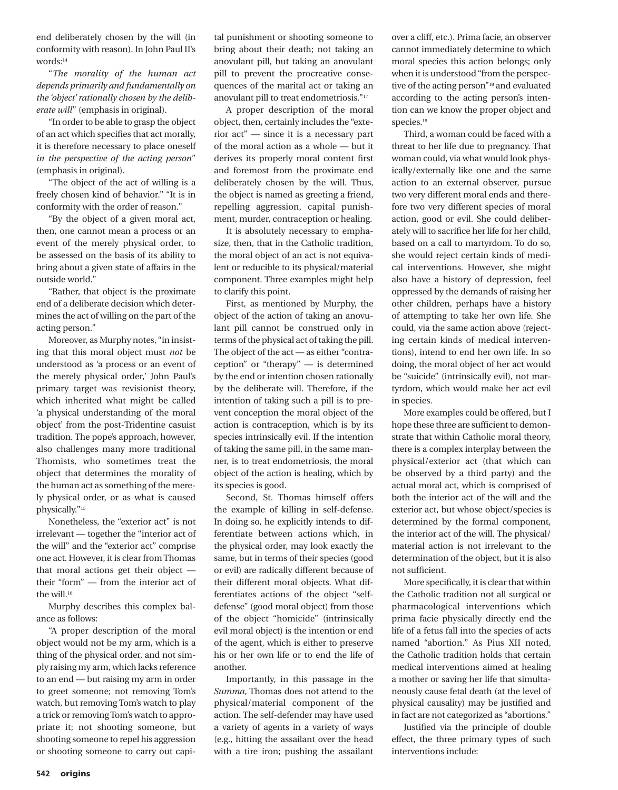end deliberately chosen by the will (in conformity with reason). In John Paul II's words:<sup>14</sup>

"*The morality of the human act depends primarily and fundamentally on the 'object' rationally chosen by the deliberate will*" (emphasis in original).

"In order to be able to grasp the object of an act which specifies that act morally, it is therefore necessary to place oneself *in the perspective of the acting person*" (emphasis in original).

"The object of the act of willing is a freely chosen kind of behavior." "It is in conformity with the order of reason."

"By the object of a given moral act, then, one cannot mean a process or an event of the merely physical order, to be assessed on the basis of its ability to bring about a given state of affairs in the outside world."

"Rather, that object is the proximate end of a deliberate decision which determines the act of willing on the part of the acting person."

Moreover, as Murphy notes, "in insisting that this moral object must *not* be understood as 'a process or an event of the merely physical order,' John Paul's primary target was revisionist theory, which inherited what might be called 'a physical understanding of the moral object' from the post-Tridentine casuist tradition. The pope's approach, however, also challenges many more traditional Thomists, who sometimes treat the object that determines the morality of the human act as something of the merely physical order, or as what is caused physically."<sup>15</sup>

Nonetheless, the "exterior act" is not irrelevant — together the "interior act of the will" and the "exterior act" comprise one act. However, it is clear from Thomas that moral actions get their object their "form" — from the interior act of the will.<sup>16</sup>

Murphy describes this complex balance as follows:

"A proper description of the moral object would not be my arm, which is a thing of the physical order, and not simply raising my arm, which lacks reference to an end — but raising my arm in order to greet someone; not removing Tom's watch, but removing Tom's watch to play a trick or removing Tom's watch to appropriate it; not shooting someone, but shooting someone to repel his aggression or shooting someone to carry out capital punishment or shooting someone to bring about their death; not taking an anovulant pill, but taking an anovulant pill to prevent the procreative consequences of the marital act or taking an anovulant pill to treat endometriosis."<sup>17</sup>

A proper description of the moral object, then, certainly includes the "exterior act" — since it is a necessary part of the moral action as a whole — but it derives its properly moral content first and foremost from the proximate end deliberately chosen by the will. Thus, the object is named as greeting a friend, repelling aggression, capital punishment, murder, contraception or healing.

It is absolutely necessary to emphasize, then, that in the Catholic tradition, the moral object of an act is not equivalent or reducible to its physical/material component. Three examples might help to clarify this point.

First, as mentioned by Murphy, the object of the action of taking an anovulant pill cannot be construed only in terms of the physical act of taking the pill. The object of the act — as either "contraception" or "therapy" — is determined by the end or intention chosen rationally by the deliberate will. Therefore, if the intention of taking such a pill is to prevent conception the moral object of the action is contraception, which is by its species intrinsically evil. If the intention of taking the same pill, in the same manner, is to treat endometriosis, the moral object of the action is healing, which by its species is good.

Second, St. Thomas himself offers the example of killing in self-defense. In doing so, he explicitly intends to differentiate between actions which, in the physical order, may look exactly the same, but in terms of their species (good or evil) are radically different because of their different moral objects. What differentiates actions of the object "selfdefense" (good moral object) from those of the object "homicide" (intrinsically evil moral object) is the intention or end of the agent, which is either to preserve his or her own life or to end the life of another.

Importantly, in this passage in the *Summa*, Thomas does not attend to the physical/material component of the action. The self-defender may have used a variety of agents in a variety of ways (e.g., hitting the assailant over the head with a tire iron; pushing the assailant over a cliff, etc.). Prima facie, an observer cannot immediately determine to which moral species this action belongs; only when it is understood "from the perspective of the acting person"<sup>18</sup> and evaluated according to the acting person's intention can we know the proper object and species.<sup>19</sup>

Third, a woman could be faced with a threat to her life due to pregnancy. That woman could, via what would look physically/externally like one and the same action to an external observer, pursue two very different moral ends and therefore two very different species of moral action, good or evil. She could deliberately will to sacrifice her life for her child, based on a call to martyrdom. To do so, she would reject certain kinds of medical interventions. However, she might also have a history of depression, feel oppressed by the demands of raising her other children, perhaps have a history of attempting to take her own life. She could, via the same action above (rejecting certain kinds of medical interventions), intend to end her own life. In so doing, the moral object of her act would be "suicide" (intrinsically evil), not martyrdom, which would make her act evil in species.

More examples could be offered, but I hope these three are sufficient to demonstrate that within Catholic moral theory, there is a complex interplay between the physical/exterior act (that which can be observed by a third party) and the actual moral act, which is comprised of both the interior act of the will and the exterior act, but whose object/species is determined by the formal component, the interior act of the will. The physical/ material action is not irrelevant to the determination of the object, but it is also not sufficient.

More specifically, it is clear that within the Catholic tradition not all surgical or pharmacological interventions which prima facie physically directly end the life of a fetus fall into the species of acts named "abortion." As Pius XII noted, the Catholic tradition holds that certain medical interventions aimed at healing a mother or saving her life that simultaneously cause fetal death (at the level of physical causality) may be justified and in fact are not categorized as "abortions."

Justified via the principle of double effect, the three primary types of such interventions include: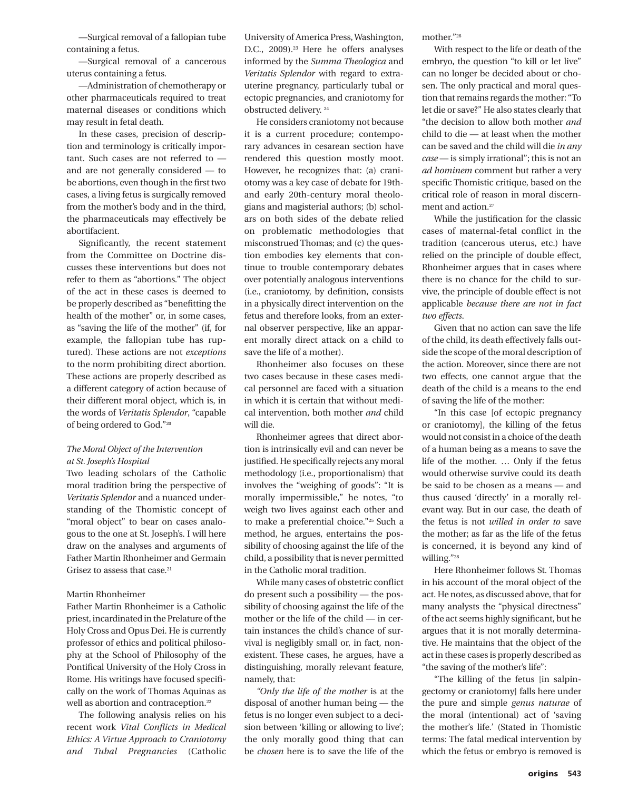—Surgical removal of a fallopian tube containing a fetus.

—Surgical removal of a cancerous uterus containing a fetus.

—Administration of chemotherapy or other pharmaceuticals required to treat maternal diseases or conditions which may result in fetal death.

In these cases, precision of description and terminology is critically important. Such cases are not referred to and are not generally considered — to be abortions, even though in the first two cases, a living fetus is surgically removed from the mother's body and in the third, the pharmaceuticals may effectively be abortifacient.

Significantly, the recent statement from the Committee on Doctrine discusses these interventions but does not refer to them as "abortions." The object of the act in these cases is deemed to be properly described as "benefitting the health of the mother" or, in some cases, as "saving the life of the mother" (if, for example, the fallopian tube has ruptured). These actions are not *exceptions*  to the norm prohibiting direct abortion. These actions are properly described as a different category of action because of their different moral object, which is, in the words of *Veritatis Splendor*, "capable of being ordered to God."<sup>20</sup>

#### *The Moral Object of the Intervention at St. Joseph's Hospital*

Two leading scholars of the Catholic moral tradition bring the perspective of *Veritatis Splendor* and a nuanced understanding of the Thomistic concept of "moral object" to bear on cases analogous to the one at St. Joseph's. I will here draw on the analyses and arguments of Father Martin Rhonheimer and Germain Grisez to assess that case.<sup>21</sup>

#### Martin Rhonheimer

Father Martin Rhonheimer is a Catholic priest, incardinated in the Prelature of the Holy Cross and Opus Dei. He is currently professor of ethics and political philosophy at the School of Philosophy of the Pontifical University of the Holy Cross in Rome. His writings have focused specifically on the work of Thomas Aquinas as well as abortion and contraception.<sup>22</sup>

The following analysis relies on his recent work *Vital Conflicts in Medical Ethics: A Virtue Approach to Craniotomy and Tubal Pregnancies* (Catholic

University of America Press, Washington, D.C., 2009).<sup>23</sup> Here he offers analyses informed by the *Summa Theologica* and *Veritatis Splendor* with regard to extrauterine pregnancy, particularly tubal or ectopic pregnancies, and craniotomy for obstructed delivery. <sup>24</sup>

He considers craniotomy not because it is a current procedure; contemporary advances in cesarean section have rendered this question mostly moot. However, he recognizes that: (a) craniotomy was a key case of debate for 19thand early 20th-century moral theologians and magisterial authors; (b) scholars on both sides of the debate relied on problematic methodologies that misconstrued Thomas; and (c) the question embodies key elements that continue to trouble contemporary debates over potentially analogous interventions (i.e., craniotomy, by definition, consists in a physically direct intervention on the fetus and therefore looks, from an external observer perspective, like an apparent morally direct attack on a child to save the life of a mother).

Rhonheimer also focuses on these two cases because in these cases medical personnel are faced with a situation in which it is certain that without medical intervention, both mother *and* child will die.

Rhonheimer agrees that direct abortion is intrinsically evil and can never be justified. He specifically rejects any moral methodology (i.e., proportionalism) that involves the "weighing of goods": "It is morally impermissible," he notes, "to weigh two lives against each other and to make a preferential choice."<sup>25</sup> Such a method, he argues, entertains the possibility of choosing against the life of the child, a possibility that is never permitted in the Catholic moral tradition.

While many cases of obstetric conflict do present such a possibility — the possibility of choosing against the life of the mother or the life of the child — in certain instances the child's chance of survival is negligibly small or, in fact, nonexistent. These cases, he argues, have a distinguishing, morally relevant feature, namely, that:

*"Only the life of the mother* is at the disposal of another human being — the fetus is no longer even subject to a decision between 'killing or allowing to live'; the only morally good thing that can be *chosen* here is to save the life of the

mother."<sup>26</sup>

With respect to the life or death of the embryo, the question "to kill or let live" can no longer be decided about or chosen. The only practical and moral question that remains regards the mother: "To let die or save?" He also states clearly that "the decision to allow both mother *and*  child to die — at least when the mother can be saved and the child will die *in any case* — is simply irrational"; this is not an *ad hominem* comment but rather a very specific Thomistic critique, based on the critical role of reason in moral discernment and action.<sup>27</sup>

While the justification for the classic cases of maternal-fetal conflict in the tradition (cancerous uterus, etc.) have relied on the principle of double effect, Rhonheimer argues that in cases where there is no chance for the child to survive, the principle of double effect is not applicable *because there are not in fact two effects*.

Given that no action can save the life of the child, its death effectively falls outside the scope of the moral description of the action. Moreover, since there are not two effects, one cannot argue that the death of the child is a means to the end of saving the life of the mother:

"In this case [of ectopic pregnancy or craniotomy], the killing of the fetus would not consist in a choice of the death of a human being as a means to save the life of the mother. … Only if the fetus would otherwise survive could its death be said to be chosen as a means — and thus caused 'directly' in a morally relevant way. But in our case, the death of the fetus is not *willed in order to* save the mother; as far as the life of the fetus is concerned, it is beyond any kind of willing."<sup>28</sup>

Here Rhonheimer follows St. Thomas in his account of the moral object of the act. He notes, as discussed above, that for many analysts the "physical directness" of the act seems highly significant, but he argues that it is not morally determinative. He maintains that the object of the act in these cases is properly described as "the saving of the mother's life":

"The killing of the fetus [in salpingectomy or craniotomy] falls here under the pure and simple *genus naturae* of the moral (intentional) act of 'saving the mother's life.' (Stated in Thomistic terms: The fatal medical intervention by which the fetus or embryo is removed is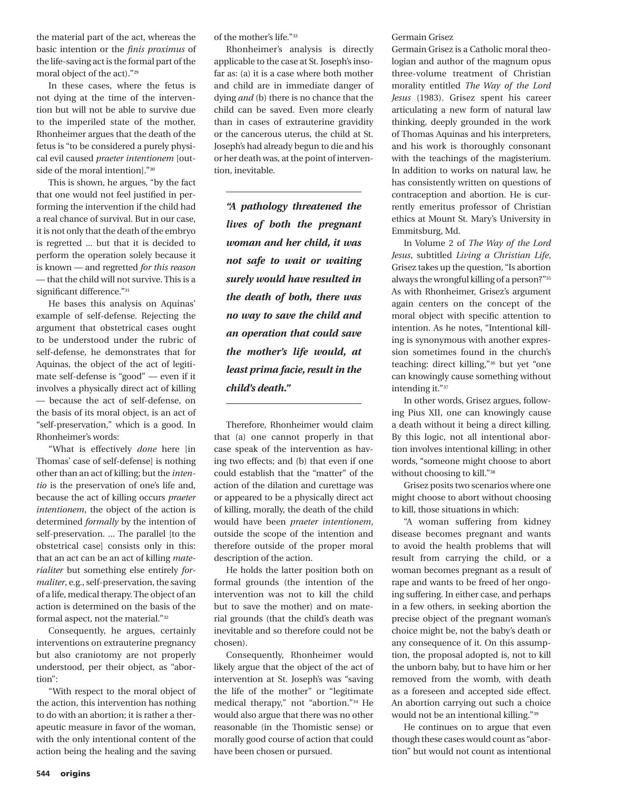the material part of the act, whereas the basic intention or the *finis proximus* of the life-saving act is the formal part of the moral object of the act)."<sup>29</sup>

In these cases, where the fetus is not dying at the time of the intervention but will not be able to survive due to the imperiled state of the mother, Rhonheimer argues that the death of the fetus is "to be considered a purely physical evil caused *praeter intentionem* [outside of the moral intention]."<sup>30</sup>

This is shown, he argues, "by the fact that one would not feel justified in performing the intervention if the child had a real chance of survival. But in our case, it is not only that the death of the embryo is regretted ... but that it is decided to perform the operation solely because it is known — and regretted *for this reason*  — that the child will not survive. This is a significant difference."31

He bases this analysis on Aquinas' example of self-defense. Rejecting the argument that obstetrical cases ought to be understood under the rubric of self-defense, he demonstrates that for Aquinas, the object of the act of legitimate self-defense is "good" — even if it involves a physically direct act of killing — because the act of self-defense, on the basis of its moral object, is an act of "self-preservation," which is a good. In Rhonheimer's words:

"What is effectively *done* here [in Thomas' case of self-defense] is nothing other than an act of killing; but the *intentio* is the preservation of one's life and, because the act of killing occurs *praeter intentionem*, the object of the action is determined *formally* by the intention of self-preservation. ... The parallel [to the obstetrical case] consists only in this: that an act can be an act of killing *materialiter* but something else entirely *formaliter*, e.g., self-preservation, the saving of a life, medical therapy. The object of an action is determined on the basis of the formal aspect, not the material."<sup>32</sup>

Consequently, he argues, certainly interventions on extrauterine pregnancy but also craniotomy are not properly understood, per their object, as "abortion":

"With respect to the moral object of the action, this intervention has nothing to do with an abortion; it is rather a therapeutic measure in favor of the woman, with the only intentional content of the action being the healing and the saving of the mother's life."<sup>33</sup>

Rhonheimer's analysis is directly applicable to the case at St. Joseph's insofar as: (a) it is a case where both mother and child are in immediate danger of dying *and* (b) there is no chance that the child can be saved. Even more clearly than in cases of extrauterine gravidity or the cancerous uterus, the child at St. Joseph's had already begun to die and his or her death was, at the point of intervention, inevitable.

*"A pathology threatened the lives of both the pregnant woman and her child, it was not safe to wait or waiting surely would have resulted in the death of both, there was no way to save the child and an operation that could save the mother's life would, at least prima facie, result in the child's death."*

Therefore, Rhonheimer would claim that (a) one cannot properly in that case speak of the intervention as having two effects; and (b) that even if one could establish that the "matter" of the action of the dilation and curettage was or appeared to be a physically direct act of killing, morally, the death of the child would have been *praeter intentionem*, outside the scope of the intention and therefore outside of the proper moral description of the action.

He holds the latter position both on formal grounds (the intention of the intervention was not to kill the child but to save the mother) and on material grounds (that the child's death was inevitable and so therefore could not be chosen).

Consequently, Rhonheimer would likely argue that the object of the act of intervention at St. Joseph's was "saving the life of the mother" or "legitimate medical therapy," not "abortion."<sup>34</sup> He would also argue that there was no other reasonable (in the Thomistic sense) or morally good course of action that could have been chosen or pursued.

Germain Grisez

Germain Grisez is a Catholic moral theologian and author of the magnum opus three-volume treatment of Christian morality entitled *The Way of the Lord Jesus* (1983). Grisez spent his career articulating a new form of natural law thinking, deeply grounded in the work of Thomas Aquinas and his interpreters, and his work is thoroughly consonant with the teachings of the magisterium. In addition to works on natural law, he has consistently written on questions of contraception and abortion. He is currently emeritus professor of Christian ethics at Mount St. Mary's University in Emmitsburg, Md.

In Volume 2 of *The Way of the Lord Jesus*, subtitled *Living a Christian Life*, Grisez takes up the question, "Is abortion always the wrongful killing of a person?"<sup>35</sup> As with Rhonheimer, Grisez's argument again centers on the concept of the moral object with specific attention to intention. As he notes, "Intentional killing is synonymous with another expression sometimes found in the church's teaching: direct killing,"36 but yet "one can knowingly cause something without intending it."<sup>37</sup>

In other words, Grisez argues, following Pius XII, one can knowingly cause a death without it being a direct killing. By this logic, not all intentional abortion involves intentional killing; in other words, "someone might choose to abort without choosing to kill."<sup>38</sup>

Grisez posits two scenarios where one might choose to abort without choosing to kill, those situations in which:

"A woman suffering from kidney disease becomes pregnant and wants to avoid the health problems that will result from carrying the child, or a woman becomes pregnant as a result of rape and wants to be freed of her ongoing suffering. In either case, and perhaps in a few others, in seeking abortion the precise object of the pregnant woman's choice might be, not the baby's death or any consequence of it. On this assumption, the proposal adopted is, not to kill the unborn baby, but to have him or her removed from the womb, with death as a foreseen and accepted side effect. An abortion carrying out such a choice would not be an intentional killing."<sup>39</sup>

He continues on to argue that even though these cases would count as "abortion" but would not count as intentional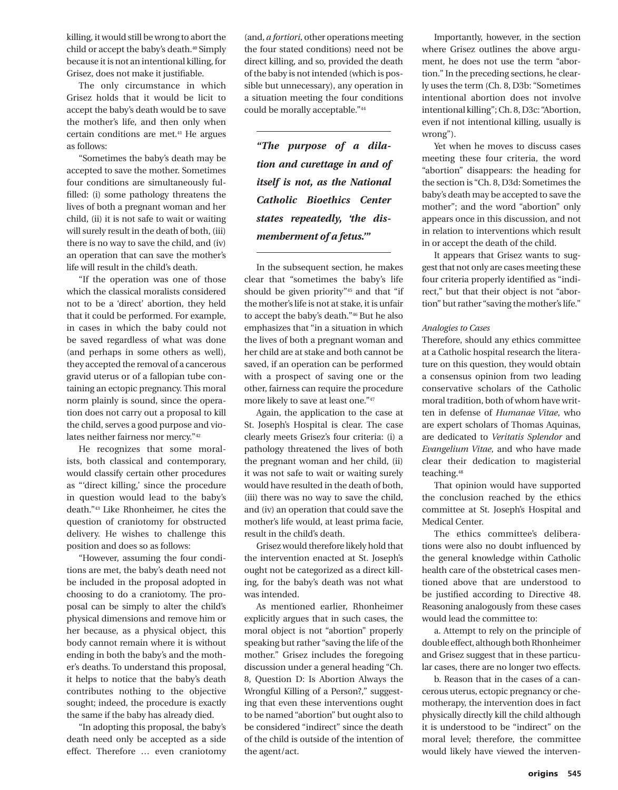killing, it would still be wrong to abort the child or accept the baby's death.<sup>40</sup> Simply because it is not an intentional killing, for Grisez, does not make it justifiable.

The only circumstance in which Grisez holds that it would be licit to accept the baby's death would be to save the mother's life, and then only when certain conditions are met.<sup>41</sup> He argues as follows:

"Sometimes the baby's death may be accepted to save the mother. Sometimes four conditions are simultaneously fulfilled: (i) some pathology threatens the lives of both a pregnant woman and her child, (ii) it is not safe to wait or waiting will surely result in the death of both, (iii) there is no way to save the child, and (iv) an operation that can save the mother's life will result in the child's death.

"If the operation was one of those which the classical moralists considered not to be a 'direct' abortion, they held that it could be performed. For example, in cases in which the baby could not be saved regardless of what was done (and perhaps in some others as well), they accepted the removal of a cancerous gravid uterus or of a fallopian tube containing an ectopic pregnancy. This moral norm plainly is sound, since the operation does not carry out a proposal to kill the child, serves a good purpose and violates neither fairness nor mercy."<sup>42</sup>

He recognizes that some moralists, both classical and contemporary, would classify certain other procedures as "'direct killing,' since the procedure in question would lead to the baby's death."<sup>43</sup> Like Rhonheimer, he cites the question of craniotomy for obstructed delivery. He wishes to challenge this position and does so as follows:

"However, assuming the four conditions are met, the baby's death need not be included in the proposal adopted in choosing to do a craniotomy. The proposal can be simply to alter the child's physical dimensions and remove him or her because, as a physical object, this body cannot remain where it is without ending in both the baby's and the mother's deaths. To understand this proposal, it helps to notice that the baby's death contributes nothing to the objective sought; indeed, the procedure is exactly the same if the baby has already died.

"In adopting this proposal, the baby's death need only be accepted as a side effect. Therefore … even craniotomy

(and, *a fortiori*, other operations meeting the four stated conditions) need not be direct killing, and so, provided the death of the baby is not intended (which is possible but unnecessary), any operation in a situation meeting the four conditions could be morally acceptable."<sup>44</sup>

*"The purpose of a dilation and curettage in and of itself is not, as the National Catholic Bioethics Center states repeatedly, 'the dismemberment of a fetus.'"*

In the subsequent section, he makes clear that "sometimes the baby's life should be given priority"<sup>45</sup> and that "if the mother's life is not at stake, it is unfair to accept the baby's death."<sup>46</sup> But he also emphasizes that "in a situation in which the lives of both a pregnant woman and her child are at stake and both cannot be saved, if an operation can be performed with a prospect of saving one or the other, fairness can require the procedure more likely to save at least one."<sup>47</sup>

Again, the application to the case at St. Joseph's Hospital is clear. The case clearly meets Grisez's four criteria: (i) a pathology threatened the lives of both the pregnant woman and her child, (ii) it was not safe to wait or waiting surely would have resulted in the death of both, (iii) there was no way to save the child, and (iv) an operation that could save the mother's life would, at least prima facie, result in the child's death.

Grisez would therefore likely hold that the intervention enacted at St. Joseph's ought not be categorized as a direct killing, for the baby's death was not what was intended.

As mentioned earlier, Rhonheimer explicitly argues that in such cases, the moral object is not "abortion" properly speaking but rather "saving the life of the mother." Grisez includes the foregoing discussion under a general heading "Ch. 8, Question D: Is Abortion Always the Wrongful Killing of a Person?," suggesting that even these interventions ought to be named "abortion" but ought also to be considered "indirect" since the death of the child is outside of the intention of the agent/act.

Importantly, however, in the section where Grisez outlines the above argument, he does not use the term "abortion." In the preceding sections, he clearly uses the term (Ch. 8, D3b: "Sometimes intentional abortion does not involve intentional killing"; Ch. 8, D3c: "Abortion, even if not intentional killing, usually is wrong").

Yet when he moves to discuss cases meeting these four criteria, the word "abortion" disappears: the heading for the section is "Ch. 8, D3d: Sometimes the baby's death may be accepted to save the mother"; and the word "abortion" only appears once in this discussion, and not in relation to interventions which result in or accept the death of the child.

It appears that Grisez wants to suggest that not only are cases meeting these four criteria properly identified as "indirect," but that their object is not "abortion" but rather "saving the mother's life."

#### *Analogies to Cases*

Therefore, should any ethics committee at a Catholic hospital research the literature on this question, they would obtain a consensus opinion from two leading conservative scholars of the Catholic moral tradition, both of whom have written in defense of *Humanae Vitae*, who are expert scholars of Thomas Aquinas, are dedicated to *Veritatis Splendor* and *Evangelium Vitae*, and who have made clear their dedication to magisterial teaching.<sup>48</sup>

That opinion would have supported the conclusion reached by the ethics committee at St. Joseph's Hospital and Medical Center.

The ethics committee's deliberations were also no doubt influenced by the general knowledge within Catholic health care of the obstetrical cases mentioned above that are understood to be justified according to Directive 48. Reasoning analogously from these cases would lead the committee to:

a. Attempt to rely on the principle of double effect, although both Rhonheimer and Grisez suggest that in these particular cases, there are no longer two effects.

b. Reason that in the cases of a cancerous uterus, ectopic pregnancy or chemotherapy, the intervention does in fact physically directly kill the child although it is understood to be "indirect" on the moral level; therefore, the committee would likely have viewed the interven-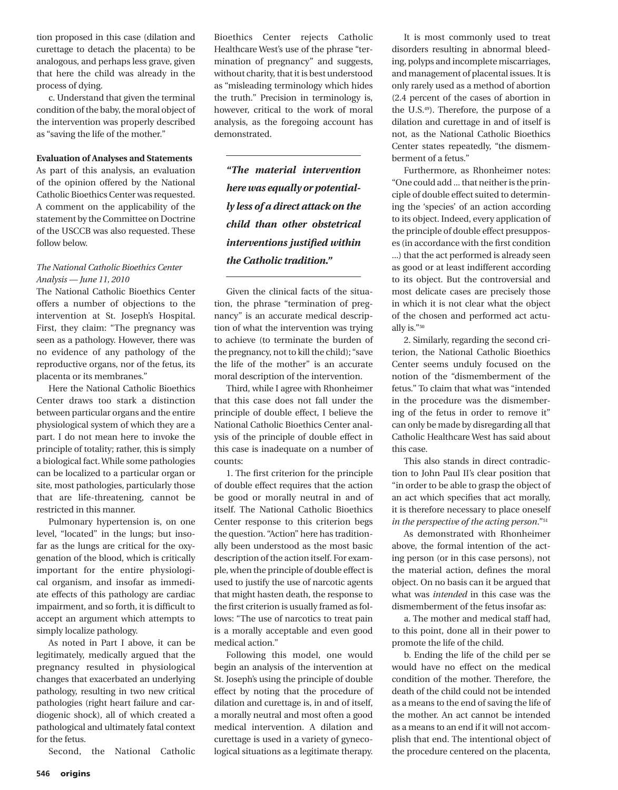tion proposed in this case (dilation and curettage to detach the placenta) to be analogous, and perhaps less grave, given that here the child was already in the process of dying.

c. Understand that given the terminal condition of the baby, the moral object of the intervention was properly described as "saving the life of the mother."

#### **Evaluation of Analyses and Statements**

As part of this analysis, an evaluation of the opinion offered by the National Catholic Bioethics Center was requested. A comment on the applicability of the statement by the Committee on Doctrine of the USCCB was also requested. These follow below.

#### *The National Catholic Bioethics Center Analysis — June 11, 2010*

The National Catholic Bioethics Center offers a number of objections to the intervention at St. Joseph's Hospital. First, they claim: "The pregnancy was seen as a pathology. However, there was no evidence of any pathology of the reproductive organs, nor of the fetus, its placenta or its membranes."

Here the National Catholic Bioethics Center draws too stark a distinction between particular organs and the entire physiological system of which they are a part. I do not mean here to invoke the principle of totality; rather, this is simply a biological fact. While some pathologies can be localized to a particular organ or site, most pathologies, particularly those that are life-threatening, cannot be restricted in this manner.

Pulmonary hypertension is, on one level, "located" in the lungs; but insofar as the lungs are critical for the oxygenation of the blood, which is critically important for the entire physiological organism, and insofar as immediate effects of this pathology are cardiac impairment, and so forth, it is difficult to accept an argument which attempts to simply localize pathology.

As noted in Part I above, it can be legitimately, medically argued that the pregnancy resulted in physiological changes that exacerbated an underlying pathology, resulting in two new critical pathologies (right heart failure and cardiogenic shock), all of which created a pathological and ultimately fatal context for the fetus.

Second, the National Catholic

Bioethics Center rejects Catholic Healthcare West's use of the phrase "termination of pregnancy" and suggests, without charity, that it is best understood as "misleading terminology which hides the truth." Precision in terminology is, however, critical to the work of moral analysis, as the foregoing account has demonstrated.

*"The material intervention here was equally or potentially less of a direct attack on the child than other obstetrical interventions justified within the Catholic tradition."*

Given the clinical facts of the situation, the phrase "termination of pregnancy" is an accurate medical description of what the intervention was trying to achieve (to terminate the burden of the pregnancy, not to kill the child); "save the life of the mother" is an accurate moral description of the intervention.

Third, while I agree with Rhonheimer that this case does not fall under the principle of double effect, I believe the National Catholic Bioethics Center analysis of the principle of double effect in this case is inadequate on a number of counts:

1. The first criterion for the principle of double effect requires that the action be good or morally neutral in and of itself. The National Catholic Bioethics Center response to this criterion begs the question. "Action" here has traditionally been understood as the most basic description of the action itself. For example, when the principle of double effect is used to justify the use of narcotic agents that might hasten death, the response to the first criterion is usually framed as follows: "The use of narcotics to treat pain is a morally acceptable and even good medical action."

Following this model, one would begin an analysis of the intervention at St. Joseph's using the principle of double effect by noting that the procedure of dilation and curettage is, in and of itself, a morally neutral and most often a good medical intervention. A dilation and curettage is used in a variety of gynecological situations as a legitimate therapy.

It is most commonly used to treat disorders resulting in abnormal bleeding, polyps and incomplete miscarriages, and management of placental issues. It is only rarely used as a method of abortion (2.4 percent of the cases of abortion in the U.S.49). Therefore, the purpose of a dilation and curettage in and of itself is not, as the National Catholic Bioethics Center states repeatedly, "the dismemberment of a fetus."

Furthermore, as Rhonheimer notes: "One could add ... that neither is the principle of double effect suited to determining the 'species' of an action according to its object. Indeed, every application of the principle of double effect presupposes (in accordance with the first condition ...) that the act performed is already seen as good or at least indifferent according to its object. But the controversial and most delicate cases are precisely those in which it is not clear what the object of the chosen and performed act actually is."<sup>50</sup>

2. Similarly, regarding the second criterion, the National Catholic Bioethics Center seems unduly focused on the notion of the "dismemberment of the fetus." To claim that what was "intended in the procedure was the dismembering of the fetus in order to remove it" can only be made by disregarding all that Catholic Healthcare West has said about this case.

This also stands in direct contradiction to John Paul II's clear position that "in order to be able to grasp the object of an act which specifies that act morally, it is therefore necessary to place oneself *in the perspective of the acting person*."<sup>51</sup>

As demonstrated with Rhonheimer above, the formal intention of the acting person (or in this case persons), not the material action, defines the moral object. On no basis can it be argued that what was *intended* in this case was the dismemberment of the fetus insofar as:

a. The mother and medical staff had, to this point, done all in their power to promote the life of the child.

b. Ending the life of the child per se would have no effect on the medical condition of the mother. Therefore, the death of the child could not be intended as a means to the end of saving the life of the mother. An act cannot be intended as a means to an end if it will not accomplish that end. The intentional object of the procedure centered on the placenta,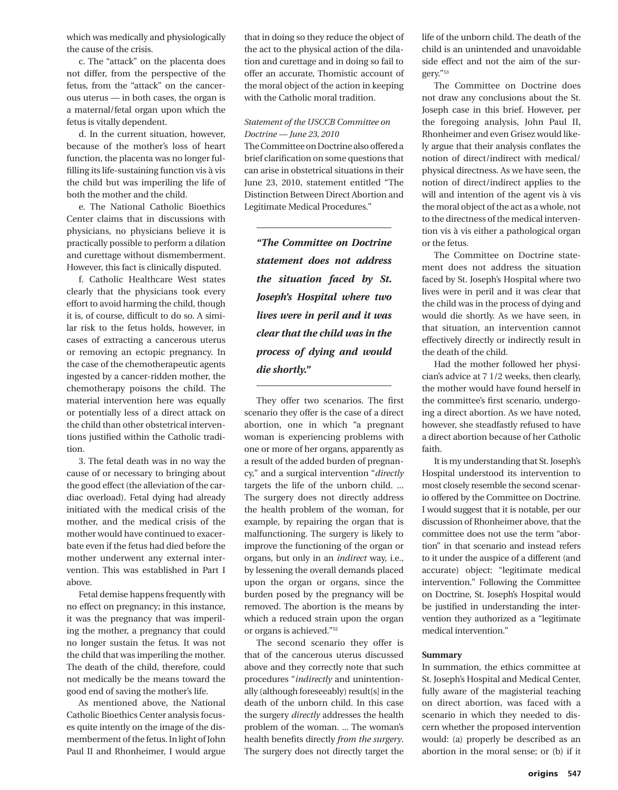which was medically and physiologically the cause of the crisis.

c. The "attack" on the placenta does not differ, from the perspective of the fetus, from the "attack" on the cancerous uterus — in both cases, the organ is a maternal/fetal organ upon which the fetus is vitally dependent.

d. In the current situation, however, because of the mother's loss of heart function, the placenta was no longer fulfilling its life-sustaining function vis à vis the child but was imperiling the life of both the mother and the child.

e. The National Catholic Bioethics Center claims that in discussions with physicians, no physicians believe it is practically possible to perform a dilation and curettage without dismemberment. However, this fact is clinically disputed.

f. Catholic Healthcare West states clearly that the physicians took every effort to avoid harming the child, though it is, of course, difficult to do so. A similar risk to the fetus holds, however, in cases of extracting a cancerous uterus or removing an ectopic pregnancy. In the case of the chemotherapeutic agents ingested by a cancer-ridden mother, the chemotherapy poisons the child. The material intervention here was equally or potentially less of a direct attack on the child than other obstetrical interventions justified within the Catholic tradition.

3. The fetal death was in no way the cause of or necessary to bringing about the good effect (the alleviation of the cardiac overload). Fetal dying had already initiated with the medical crisis of the mother, and the medical crisis of the mother would have continued to exacerbate even if the fetus had died before the mother underwent any external intervention. This was established in Part I above.

Fetal demise happens frequently with no effect on pregnancy; in this instance, it was the pregnancy that was imperiling the mother, a pregnancy that could no longer sustain the fetus. It was not the child that was imperiling the mother. The death of the child, therefore, could not medically be the means toward the good end of saving the mother's life.

As mentioned above, the National Catholic Bioethics Center analysis focuses quite intently on the image of the dismemberment of the fetus. In light of John Paul II and Rhonheimer, I would argue

that in doing so they reduce the object of the act to the physical action of the dilation and curettage and in doing so fail to offer an accurate, Thomistic account of the moral object of the action in keeping with the Catholic moral tradition.

#### *Statement of the USCCB Committee on Doctrine — June 23, 2010*

The Committee on Doctrine also offered a brief clarification on some questions that can arise in obstetrical situations in their June 23, 2010, statement entitled "The Distinction Between Direct Abortion and Legitimate Medical Procedures."

*"The Committee on Doctrine statement does not address the situation faced by St. Joseph's Hospital where two lives were in peril and it was clear that the child was in the process of dying and would die shortly."*

They offer two scenarios. The first scenario they offer is the case of a direct abortion, one in which "a pregnant woman is experiencing problems with one or more of her organs, apparently as a result of the added burden of pregnancy," and a surgical intervention "*directly*  targets the life of the unborn child. ... The surgery does not directly address the health problem of the woman, for example, by repairing the organ that is malfunctioning. The surgery is likely to improve the functioning of the organ or organs, but only in an *indirect* way, i.e., by lessening the overall demands placed upon the organ or organs, since the burden posed by the pregnancy will be removed. The abortion is the means by which a reduced strain upon the organ or organs is achieved."<sup>52</sup>

The second scenario they offer is that of the cancerous uterus discussed above and they correctly note that such procedures "*indirectly* and unintentionally (although foreseeably) result[s] in the death of the unborn child. In this case the surgery *directly* addresses the health problem of the woman. ... The woman's health benefits directly *from the surgery*. The surgery does not directly target the

life of the unborn child. The death of the child is an unintended and unavoidable side effect and not the aim of the surgery."<sup>53</sup>

The Committee on Doctrine does not draw any conclusions about the St. Joseph case in this brief. However, per the foregoing analysis, John Paul II, Rhonheimer and even Grisez would likely argue that their analysis conflates the notion of direct/indirect with medical/ physical directness. As we have seen, the notion of direct/indirect applies to the will and intention of the agent vis à vis the moral object of the act as a whole, not to the directness of the medical intervention vis à vis either a pathological organ or the fetus.

The Committee on Doctrine statement does not address the situation faced by St. Joseph's Hospital where two lives were in peril and it was clear that the child was in the process of dying and would die shortly. As we have seen, in that situation, an intervention cannot effectively directly or indirectly result in the death of the child.

Had the mother followed her physician's advice at 7 1/2 weeks, then clearly, the mother would have found herself in the committee's first scenario, undergoing a direct abortion. As we have noted, however, she steadfastly refused to have a direct abortion because of her Catholic faith.

It is my understanding that St. Joseph's Hospital understood its intervention to most closely resemble the second scenario offered by the Committee on Doctrine. I would suggest that it is notable, per our discussion of Rhonheimer above, that the committee does not use the term "abortion" in that scenario and instead refers to it under the auspice of a different (and accurate) object: "legitimate medical intervention." Following the Committee on Doctrine, St. Joseph's Hospital would be justified in understanding the intervention they authorized as a "legitimate medical intervention."

#### **Summary**

In summation, the ethics committee at St. Joseph's Hospital and Medical Center, fully aware of the magisterial teaching on direct abortion, was faced with a scenario in which they needed to discern whether the proposed intervention would: (a) properly be described as an abortion in the moral sense; or (b) if it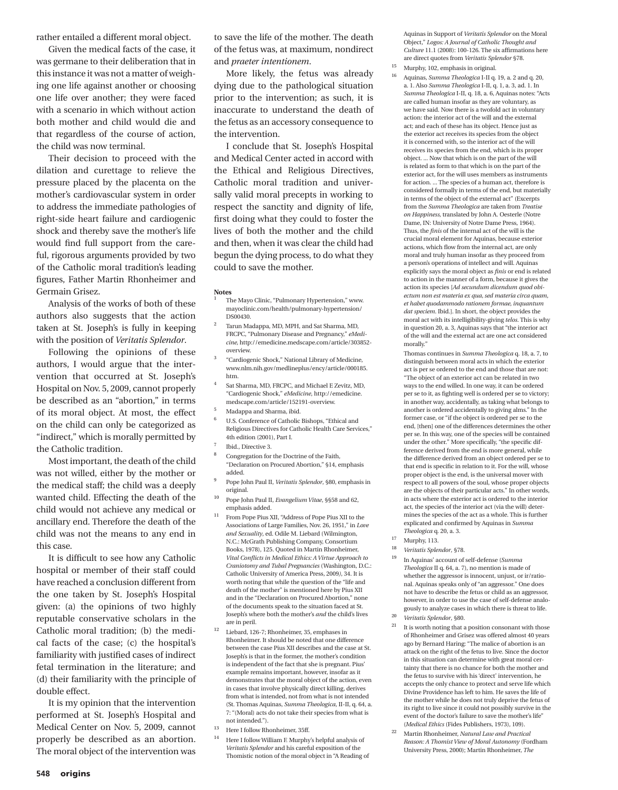rather entailed a different moral object.

Given the medical facts of the case, it was germane to their deliberation that in this instance it was not a matter of weighing one life against another or choosing one life over another; they were faced with a scenario in which without action both mother and child would die and that regardless of the course of action, the child was now terminal.

Their decision to proceed with the dilation and curettage to relieve the pressure placed by the placenta on the mother's cardiovascular system in order to address the immediate pathologies of right-side heart failure and cardiogenic shock and thereby save the mother's life would find full support from the careful, rigorous arguments provided by two of the Catholic moral tradition's leading figures, Father Martin Rhonheimer and Germain Grisez.

Analysis of the works of both of these authors also suggests that the action taken at St. Joseph's is fully in keeping with the position of *Veritatis Splendor*.

Following the opinions of these authors, I would argue that the intervention that occurred at St. Joseph's Hospital on Nov. 5, 2009, cannot properly be described as an "abortion," in terms of its moral object. At most, the effect on the child can only be categorized as "indirect," which is morally permitted by the Catholic tradition.

Most important, the death of the child was not willed, either by the mother or the medical staff; the child was a deeply wanted child. Effecting the death of the child would not achieve any medical or ancillary end. Therefore the death of the child was not the means to any end in this case.

It is difficult to see how any Catholic hospital or member of their staff could have reached a conclusion different from the one taken by St. Joseph's Hospital given: (a) the opinions of two highly reputable conservative scholars in the Catholic moral tradition; (b) the medical facts of the case; (c) the hospital's familiarity with justified cases of indirect fetal termination in the literature; and (d) their familiarity with the principle of double effect.

It is my opinion that the intervention performed at St. Joseph's Hospital and Medical Center on Nov. 5, 2009, cannot properly be described as an abortion. The moral object of the intervention was to save the life of the mother. The death of the fetus was, at maximum, nondirect and *praeter intentionem*.

More likely, the fetus was already dying due to the pathological situation prior to the intervention; as such, it is inaccurate to understand the death of the fetus as an accessory consequence to the intervention.

I conclude that St. Joseph's Hospital and Medical Center acted in accord with the Ethical and Religious Directives, Catholic moral tradition and universally valid moral precepts in working to respect the sanctity and dignity of life, first doing what they could to foster the lives of both the mother and the child and then, when it was clear the child had begun the dying process, to do what they could to save the mother.

#### **Notes**

- The Mayo Clinic, "Pulmonary Hypertension," www. mayoclinic.com/health/pulmonary-hypertension/ DS00430.
- <sup>2</sup> Tarun Madappa, MD, MPH, and Sat Sharma, MD, FRCPC, "Pulmonary Disease and Pregnancy," *eMedicine,* http://emedicine.medscape.com/article/303852 overview.
- <sup>3</sup> "Cardiogenic Shock," National Library of Medicine, www.nlm.nih.gov/medlineplus/ency/article/000185. htm.
- Sat Sharma, MD, FRCPC, and Michael E Zevitz, MD, "Cardiogenic Shock," *eMedicine*, http://emedicine. medscape.com/article/152191-overview.
- <sup>5</sup> Madappa and Sharma, ibid.
- <sup>6</sup> U.S. Conference of Catholic Bishops, "Ethical and Religious Directives for Catholic Health Care Services," 4th edition (2001), Part I.
- <sup>7</sup> Ibid., Directive 3.
- Congregation for the Doctrine of the Faith, "Declaration on Procured Abortion," §14, emphasis added.
- <sup>9</sup> Pope John Paul II, *Veritatis Splendor*, §80, emphasis in original.
- <sup>10</sup> Pope John Paul II, *Evangelium Vitae*, §§58 and 62, emphasis added.
- <sup>11</sup> From Pope Pius XII, "Address of Pope Pius XII to the Associations of Large Families, Nov. 26, 1951," in *Love and Sexuality*, ed. Odile M. Liebard (Wilmington, N.C.: McGrath Publishing Company, Consortium Books, 1978), 125. Quoted in Martin Rhonheimer, *Vital Conflicts in Medical Ethics: A Virtue Approach to Craniotomy and Tubal Pregnancies* (Washington, D.C.: Catholic University of America Press, 2009*)*, 34. It is worth noting that while the question of the "life and death of the mother" is mentioned here by Pius XII and in the "Declaration on Procured Abortion," none of the documents speak to the situation faced at St. Joseph's where both the mother's *and* the child's lives are in peril.
- <sup>12</sup> Liebard, 126-7; Rhonheimer, 35, emphases in Rhonheimer. It should be noted that one difference between the case Pius XII describes and the case at St. Joseph's is that in the former, the mother's condition is independent of the fact that she is pregnant. Pius' example remains important, however, insofar as it demonstrates that the moral object of the action, even in cases that involve physically direct killing, derives from what is intended, not from what is not intended (St. Thomas Aquinas, *Summa Theologica*, II-II, q. 64, a. 7: "(Moral) acts do not take their species from what is not intended.").
- <sup>13</sup> Here I follow Rhonheimer, 35ff.<br> $\frac{14}{1000}$  Here I follow William E Murphy
- Here I follow William F. Murphy's helpful analysis of *Veritatis Splendor* and his careful exposition of the Thomistic notion of the moral object in "A Reading of

Aquinas in Support of *Veritatis Splendor* on the Moral Object," *Logos: A Journal of Catholic Thought and Culture* 11.1 (2008): 100-126. The six affirmations here are direct quotes from *Veritatis Splendor* §78.

- <sup>15</sup> Murphy, 102, emphasis in original.
- <sup>16</sup> Aquinas, *Summa Theologica* I-II q. 19, a. 2 and q. 20, a. 1. Also *Summa Theologica* I-II, q. 1, a. 3, ad. 1. In *Summa Theologica* I-II, q. 18, a. 6, Aquinas notes: "Acts are called human insofar as they are voluntary, as we have said. Now there is a twofold act in voluntary action: the interior act of the will and the external act; and each of these has its object. Hence just as the exterior act receives its species from the object it is concerned with, so the interior act of the will receives its species from the end, which is its proper object. ... Now that which is on the part of the will is related as form to that which is on the part of the exterior act, for the will uses members as instruments for action. ... The species of a human act, therefore is considered formally in terms of the end, but materially in terms of the object of the external act" (Excerpts from the *Summa Theologica* are taken from *Treatise on Happiness,* translated by John A. Oesterle (Notre Dame, IN: University of Notre Dame Press, 1964). Thus, the *finis* of the internal act of the will is the crucial moral element for Aquinas, because exterior actions, which flow from the internal act, are only moral and truly human insofar as they proceed from a person's operations of intellect and will. Aquinas explicitly says the moral object as *finis* or end is related to action in the manner of a form, because it gives the action its species [*Ad secundum dicendum quod obiectum non est materia ex qua, sed materia circa quam, et habet quodammodo rationem formae, inquantum dat speciem.* Ibid.]. In short, the object provides the moral act with its intelligibility-giving *telos*. This is why in question 20, a. 3, Aquinas says that "the interior act of the will and the external act are one act considered morally."

Thomas continues in *Summa Theologica* q. 18, a. 7, to distinguish between moral acts in which the exterior act is per se ordered to the end and those that are not: "The object of an exterior act can be related in two ways to the end willed. In one way, it can be ordered per se to it, as fighting well is ordered per se to victory; in another way, accidentally, as taking what belongs to another is ordered accidentally to giving alms." In the former case, or "if the object is ordered per se to the end, [then] one of the differences determines the other per se. In this way, one of the species will be contained under the other." More specifically, "the specific difference derived from the end is more general, while the difference derived from an object ordered per se to that end is specific in relation to it. For the will, whose proper object is the end, is the universal mover with respect to all powers of the soul, whose proper objects are the objects of their particular acts." In other words, in acts where the exterior act is ordered to the interior act, the species of the interior act (via the will) determines the species of the act as a whole. This is further explicated and confirmed by Aquinas in *Summa Theologica* q. 20, a. 3.

- 
- $\frac{17}{18}$  Murphy, 113.
- <sup>18</sup> *Veritatis Splendor*, §78.
- <sup>19</sup> In Aquinas' account of self-defense (*Summa Theologica* II q. 64, a. 7), no mention is made of whether the aggressor is innocent, unjust, or ir/rational. Aquinas speaks only of "an aggressor." One does not have to describe the fetus or child as an aggressor, however, in order to use the case of self-defense analogously to analyze cases in which there is threat to life. <sup>20</sup> *Veritatis Splendor*, §80.
- 
- $21$  It is worth noting that a position consonant with those of Rhonheimer and Grisez was offered almost 40 years ago by Bernard Haring: "The malice of abortion is an attack on the right of the fetus to live. Since the doctor in this situation can determine with great moral certainty that there is no chance for both the mother and the fetus to survive with his 'direct' intervention, he accepts the only chance to protect and serve life which Divine Providence has left to him. He saves the life of the mother while he does not truly deprive the fetus of its right to live since it could not possibly survive in the event of the doctor's failure to save the mother's life" (*Medical Ethics* (Fides Publishers, 1973), 109).
- <sup>22</sup> Martin Rhonheimer, *Natural Law and Practical Reason: A Thomist View of Moral Autonomy* (Fordham University Press, 2000); Martin Rhonheimer, *The*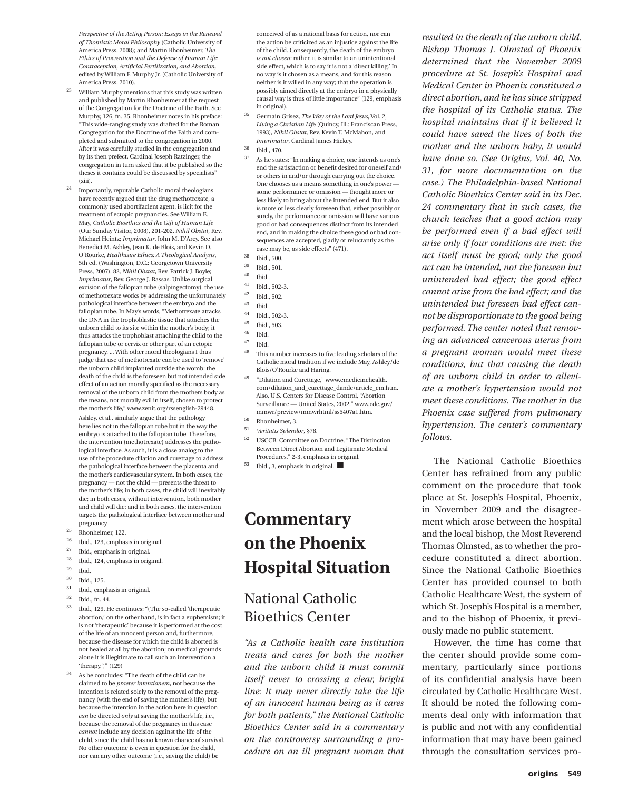*Perspective of the Acting Person: Essays in the Renewal of Thomistic Moral Philosophy* (Catholic University of America Press, 2008); and Martin Rhonheimer, *The Ethics of Procreation and the Defense of Human Life: Contraception, Artificial Fertilization, and Abortion,* edited by William F. Murphy Jr. (Catholic University of America Press, 2010).

- William Murphy mentions that this study was written and published by Martin Rhonheimer at the request of the Congregation for the Doctrine of the Faith. See Murphy, 126, fn. 35. Rhonheimer notes in his preface: "This wide-ranging study was drafted for the Roman Congregation for the Doctrine of the Faith and completed and submitted to the congregation in 2000. After it was carefully studied in the congregation and by its then prefect, Cardinal Joseph Ratzinger, the congregation in turn asked that it be published so the theses it contains could be discussed by specialists" (xiii).
- <sup>24</sup> Importantly, reputable Catholic moral theologians have recently argued that the drug methotrexate, a commonly used abortifacient agent, is licit for the treatment of ectopic pregnancies. See William E. May, *Catholic Bioethics and the Gift of Human Life*  (Our Sunday Visitor, 2008), 201-202, *Nihil Obstat*, Rev. Michael Heintz; *Imprimatur*, John M. D'Arcy. See also Benedict M. Ashley, Jean K. de Blois, and Kevin D. O'Rourke, *Healthcare Ethics: A Theological Analysis*, 5th ed. (Washington, D.C.: Georgetown University Press, 2007), 82, *Nihil Obstat*, Rev. Patrick J. Boyle; *Imprimatur*, Rev. George J. Rassas. Unlike surgical excision of the fallopian tube (salpingectomy), the use of methotrexate works by addressing the unfortunately pathological interface between the embryo and the fallopian tube. In May's words, "Methotrexate attacks the DNA in the trophoblastic tissue that attaches the unborn child to its site within the mother's body; it thus attacks the trophoblast attaching the child to the fallopian tube or cervix or other part of an ectopic pregnancy. ... With other moral theologians I thus judge that use of methotrexate can be used to 'remove' the unborn child implanted outside the womb; the death of the child is the foreseen but not intended side effect of an action morally specified as the necessary removal of the unborn child from the mothers body as the means, not morally evil in itself, chosen to protect the mother's life," www.zenit.org/rssenglish-29448. Ashley, et al., similarly argue that the pathology here lies not in the fallopian tube but in the way the embryo is attached to the fallopian tube. Therefore, the intervention (methotrexate) addresses the pathological interface. As such, it is a close analog to the use of the procedure dilation and curettage to address the pathological interface between the placenta and the mother's cardiovascular system. In both cases, the pregnancy — not the child — presents the threat to the mother's life; in both cases, the child will inevitably die; in both cases, without intervention, both mother and child will die; and in both cases, the intervention targets the pathological interface between mother and pregnancy.
- $\frac{25}{26}$  Rhonheimer, 122.
- <sup>26</sup> Ibid., 123, emphasis in original.
- Ibid., emphasis in original.
- $^{28}$  Ibid., 124, emphasis in original.<br> $^{29}$  Ibid
- $\frac{29}{30}$  Ibid.
- $\frac{30}{31}$  Ibid., 125.
- Ibid., emphasis in original.
- $32$  Ibid., fn. 44.
- <sup>33</sup> Ibid., 129. He continues: "(The so-called 'therapeutic abortion,' on the other hand, is in fact a euphemism; it is not 'therapeutic' because it is performed at the cost of the life of an innocent person and, furthermore, because the disease for which the child is aborted is not healed at all by the abortion; on medical grounds alone it is illegitimate to call such an intervention a 'therapy.')" (129)
- <sup>34</sup> As he concludes: "The death of the child can be claimed to be *praeter intentionem*, not because the intention is related solely to the removal of the pregnancy (with the end of saving the mother's life), but because the intention in the action here in question *can* be directed *only* at saving the mother's life, i.e., because the removal of the pregnancy in this case *cannot* include any decision against the life of the child, since the child has no known chance of survival. No other outcome is even in question for the child, nor can any other outcome (i.e., saving the child) be

conceived of as a rational basis for action, nor can the action be criticized as an injustice against the life of the child. Consequently, the death of the embryo *is not chosen*; rather, it is similar to an unintentional side effect, which is to say it is not a 'direct killing.' In no way is it chosen as a means, and for this reason neither is it willed in any way; that the operation is possibly aimed directly at the embryo in a physically causal way is thus of little importance" (129, emphasis in original).

- <sup>35</sup> Germain Grisez, *The Way of the Lord Jesus*, Vol. 2, *Living a Christian Lif*e (Quincy, Ill.: Franciscan Press, 1993), *Nihil Obstat*, Rev. Kevin T. McMahon, and *Imprimatur*, Cardinal James Hickey.
- $\frac{36}{37}$  Ibid., 470.
	- As he states: "In making a choice, one intends as one's end the satisfaction or benefit desired for oneself and/ or others in and/or through carrying out the choice. One chooses as a means something in one's power some performance or omission — thought more or less likely to bring about the intended end. But it also is more or less clearly foreseen that, either possibly or surely, the performance or omission will have various good or bad consequences distinct from its intended end, and in making the choice these good or bad consequences are accepted, gladly or reluctantly as the case may be, as side effects" (471).
- <sup>38</sup> Ibid., 500.
- <sup>39</sup> Ibid., 501.
- $\frac{40}{41}$  Ibid.
- $\frac{41}{42}$  Ibid., 502-3.
- Ibid., 502.
- $\begin{bmatrix} 43 & \text{Ibid.} \\ 44 & \text{II} & \text{II} \end{bmatrix}$
- $\frac{44}{45}$  Ibid., 502-3.
- 
- $^{45}$  Ibid., 503.
- $\frac{46}{47}$  Ibid. <sup>47</sup> Ibid.
- $^{48}$  This number increases to five leading scholars of the
- Catholic moral tradition if we include May, Ashley/de Blois/O'Rourke and Haring. <sup>49</sup> "Dilation and Curettage," www.emedicinehealth.
- com/dilation\_and\_curettage\_dandc/article\_em.htm. Also, U.S. Centers for Disease Control, "Abortion Surveillance — United States, 2002," www.cdc.gov/ mmwr/preview/mmwrhtml/ss5407a1.htm.
- $\frac{50}{51}$  Rhonheimer, 3.
- <sup>51</sup> *Veritatis Splendor*, §78.
- <sup>52</sup> USCCB, Committee on Doctrine, "The Distinction Between Direct Abortion and Legitimate Medical Procedures," 2-3, emphasis in original.
- <sup>53</sup> Ibid., 3, emphasis in original. ■

# **Commentary on the Phoenix Hospital Situation**

### National Catholic Bioethics Center

*"As a Catholic health care institution treats and cares for both the mother and the unborn child it must commit itself never to crossing a clear, bright line: It may never directly take the life of an innocent human being as it cares for both patients," the National Catholic Bioethics Center said in a commentary on the controversy surrounding a procedure on an ill pregnant woman that* 

*resulted in the death of the unborn child. Bishop Thomas J. Olmsted of Phoenix determined that the November 2009 procedure at St. Joseph's Hospital and Medical Center in Phoenix constituted a direct abortion, and he has since stripped the hospital of its Catholic status. The hospital maintains that if it believed it could have saved the lives of both the mother and the unborn baby, it would have done so. (See Origins, Vol. 40, No. 31, for more documentation on the case.) The Philadelphia-based National Catholic Bioethics Center said in its Dec. 24 commentary that in such cases, the church teaches that a good action may be performed even if a bad effect will arise only if four conditions are met: the act itself must be good; only the good act can be intended, not the foreseen but unintended bad effect; the good effect cannot arise from the bad effect; and the unintended but foreseen bad effect cannot be disproportionate to the good being performed. The center noted that removing an advanced cancerous uterus from a pregnant woman would meet these conditions, but that causing the death of an unborn child in order to alleviate a mother's hypertension would not meet these conditions. The mother in the Phoenix case suffered from pulmonary hypertension. The center's commentary follows.*

The National Catholic Bioethics Center has refrained from any public comment on the procedure that took place at St. Joseph's Hospital, Phoenix, in November 2009 and the disagreement which arose between the hospital and the local bishop, the Most Reverend Thomas Olmsted, as to whether the procedure constituted a direct abortion. Since the National Catholic Bioethics Center has provided counsel to both Catholic Healthcare West, the system of which St. Joseph's Hospital is a member, and to the bishop of Phoenix, it previously made no public statement.

However, the time has come that the center should provide some commentary, particularly since portions of its confidential analysis have been circulated by Catholic Healthcare West. It should be noted the following comments deal only with information that is public and not with any confidential information that may have been gained through the consultation services pro-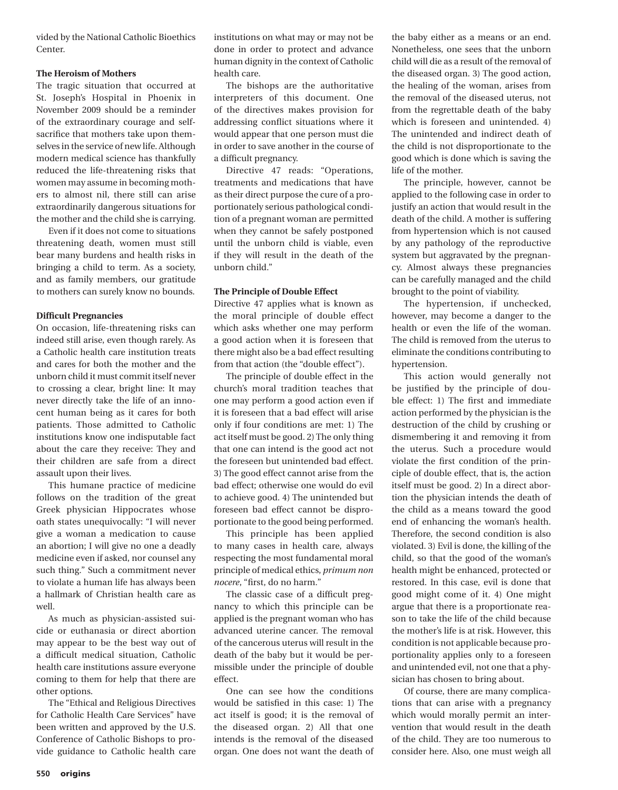vided by the National Catholic Bioethics Center.

#### **The Heroism of Mothers**

The tragic situation that occurred at St. Joseph's Hospital in Phoenix in November 2009 should be a reminder of the extraordinary courage and selfsacrifice that mothers take upon themselves in the service of new life. Although modern medical science has thankfully reduced the life-threatening risks that women may assume in becoming mothers to almost nil, there still can arise extraordinarily dangerous situations for the mother and the child she is carrying.

Even if it does not come to situations threatening death, women must still bear many burdens and health risks in bringing a child to term. As a society, and as family members, our gratitude to mothers can surely know no bounds.

#### **Difficult Pregnancies**

On occasion, life-threatening risks can indeed still arise, even though rarely. As a Catholic health care institution treats and cares for both the mother and the unborn child it must commit itself never to crossing a clear, bright line: It may never directly take the life of an innocent human being as it cares for both patients. Those admitted to Catholic institutions know one indisputable fact about the care they receive: They and their children are safe from a direct assault upon their lives.

This humane practice of medicine follows on the tradition of the great Greek physician Hippocrates whose oath states unequivocally: "I will never give a woman a medication to cause an abortion; I will give no one a deadly medicine even if asked, nor counsel any such thing." Such a commitment never to violate a human life has always been a hallmark of Christian health care as well.

As much as physician-assisted suicide or euthanasia or direct abortion may appear to be the best way out of a difficult medical situation, Catholic health care institutions assure everyone coming to them for help that there are other options.

The "Ethical and Religious Directives for Catholic Health Care Services" have been written and approved by the U.S. Conference of Catholic Bishops to provide guidance to Catholic health care institutions on what may or may not be done in order to protect and advance human dignity in the context of Catholic health care.

The bishops are the authoritative interpreters of this document. One of the directives makes provision for addressing conflict situations where it would appear that one person must die in order to save another in the course of a difficult pregnancy.

Directive 47 reads: "Operations, treatments and medications that have as their direct purpose the cure of a proportionately serious pathological condition of a pregnant woman are permitted when they cannot be safely postponed until the unborn child is viable, even if they will result in the death of the unborn child."

#### **The Principle of Double Effect**

Directive 47 applies what is known as the moral principle of double effect which asks whether one may perform a good action when it is foreseen that there might also be a bad effect resulting from that action (the "double effect").

The principle of double effect in the church's moral tradition teaches that one may perform a good action even if it is foreseen that a bad effect will arise only if four conditions are met: 1) The act itself must be good. 2) The only thing that one can intend is the good act not the foreseen but unintended bad effect. 3) The good effect cannot arise from the bad effect; otherwise one would do evil to achieve good. 4) The unintended but foreseen bad effect cannot be disproportionate to the good being performed.

This principle has been applied to many cases in health care, always respecting the most fundamental moral principle of medical ethics, *primum non nocere*, "first, do no harm."

The classic case of a difficult pregnancy to which this principle can be applied is the pregnant woman who has advanced uterine cancer. The removal of the cancerous uterus will result in the death of the baby but it would be permissible under the principle of double effect.

One can see how the conditions would be satisfied in this case: 1) The act itself is good; it is the removal of the diseased organ. 2) All that one intends is the removal of the diseased organ. One does not want the death of the baby either as a means or an end. Nonetheless, one sees that the unborn child will die as a result of the removal of the diseased organ. 3) The good action, the healing of the woman, arises from the removal of the diseased uterus, not from the regrettable death of the baby which is foreseen and unintended. 4) The unintended and indirect death of the child is not disproportionate to the good which is done which is saving the life of the mother.

The principle, however, cannot be applied to the following case in order to justify an action that would result in the death of the child. A mother is suffering from hypertension which is not caused by any pathology of the reproductive system but aggravated by the pregnancy. Almost always these pregnancies can be carefully managed and the child brought to the point of viability.

The hypertension, if unchecked, however, may become a danger to the health or even the life of the woman. The child is removed from the uterus to eliminate the conditions contributing to hypertension.

This action would generally not be justified by the principle of double effect: 1) The first and immediate action performed by the physician is the destruction of the child by crushing or dismembering it and removing it from the uterus. Such a procedure would violate the first condition of the principle of double effect, that is, the action itself must be good. 2) In a direct abortion the physician intends the death of the child as a means toward the good end of enhancing the woman's health. Therefore, the second condition is also violated. 3) Evil is done, the killing of the child, so that the good of the woman's health might be enhanced, protected or restored. In this case, evil is done that good might come of it. 4) One might argue that there is a proportionate reason to take the life of the child because the mother's life is at risk. However, this condition is not applicable because proportionality applies only to a foreseen and unintended evil, not one that a physician has chosen to bring about.

Of course, there are many complications that can arise with a pregnancy which would morally permit an intervention that would result in the death of the child. They are too numerous to consider here. Also, one must weigh all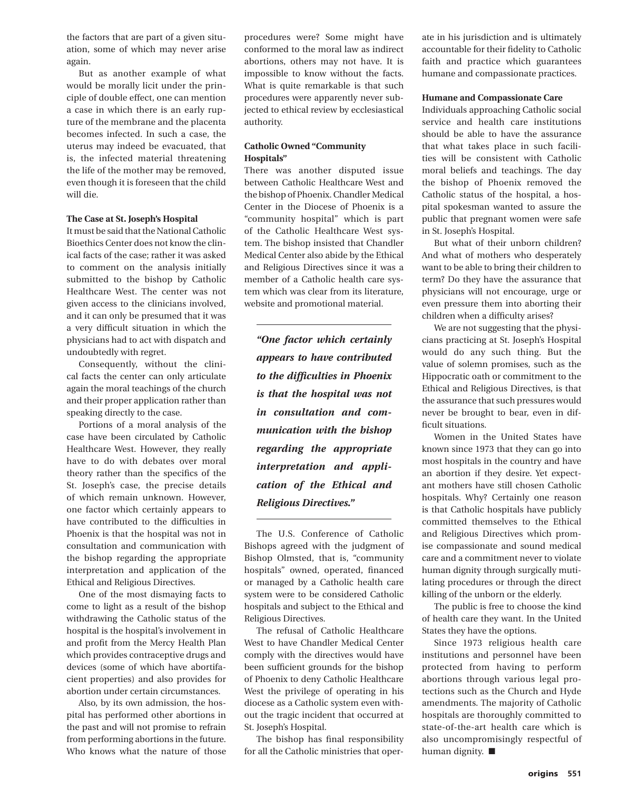the factors that are part of a given situation, some of which may never arise again.

But as another example of what would be morally licit under the principle of double effect, one can mention a case in which there is an early rupture of the membrane and the placenta becomes infected. In such a case, the uterus may indeed be evacuated, that is, the infected material threatening the life of the mother may be removed, even though it is foreseen that the child will die.

#### **The Case at St. Joseph's Hospital**

It must be said that the National Catholic Bioethics Center does not know the clinical facts of the case; rather it was asked to comment on the analysis initially submitted to the bishop by Catholic Healthcare West. The center was not given access to the clinicians involved, and it can only be presumed that it was a very difficult situation in which the physicians had to act with dispatch and undoubtedly with regret.

Consequently, without the clinical facts the center can only articulate again the moral teachings of the church and their proper application rather than speaking directly to the case.

Portions of a moral analysis of the case have been circulated by Catholic Healthcare West. However, they really have to do with debates over moral theory rather than the specifics of the St. Joseph's case, the precise details of which remain unknown. However, one factor which certainly appears to have contributed to the difficulties in Phoenix is that the hospital was not in consultation and communication with the bishop regarding the appropriate interpretation and application of the Ethical and Religious Directives.

One of the most dismaying facts to come to light as a result of the bishop withdrawing the Catholic status of the hospital is the hospital's involvement in and profit from the Mercy Health Plan which provides contraceptive drugs and devices (some of which have abortifacient properties) and also provides for abortion under certain circumstances.

Also, by its own admission, the hospital has performed other abortions in the past and will not promise to refrain from performing abortions in the future. Who knows what the nature of those

procedures were? Some might have conformed to the moral law as indirect abortions, others may not have. It is impossible to know without the facts. What is quite remarkable is that such procedures were apparently never subjected to ethical review by ecclesiastical authority.

### **Catholic Owned "Community Hospitals"**

There was another disputed issue between Catholic Healthcare West and the bishop of Phoenix. Chandler Medical Center in the Diocese of Phoenix is a "community hospital" which is part of the Catholic Healthcare West system. The bishop insisted that Chandler Medical Center also abide by the Ethical and Religious Directives since it was a member of a Catholic health care system which was clear from its literature, website and promotional material.

*"One factor which certainly appears to have contributed to the difficulties in Phoenix is that the hospital was not in consultation and communication with the bishop regarding the appropriate interpretation and application of the Ethical and Religious Directives."*

The U.S. Conference of Catholic Bishops agreed with the judgment of Bishop Olmsted, that is, "community hospitals" owned, operated, financed or managed by a Catholic health care system were to be considered Catholic hospitals and subject to the Ethical and Religious Directives.

The refusal of Catholic Healthcare West to have Chandler Medical Center comply with the directives would have been sufficient grounds for the bishop of Phoenix to deny Catholic Healthcare West the privilege of operating in his diocese as a Catholic system even without the tragic incident that occurred at St. Joseph's Hospital.

The bishop has final responsibility for all the Catholic ministries that operate in his jurisdiction and is ultimately accountable for their fidelity to Catholic faith and practice which guarantees humane and compassionate practices.

#### **Humane and Compassionate Care**

Individuals approaching Catholic social service and health care institutions should be able to have the assurance that what takes place in such facilities will be consistent with Catholic moral beliefs and teachings. The day the bishop of Phoenix removed the Catholic status of the hospital, a hospital spokesman wanted to assure the public that pregnant women were safe in St. Joseph's Hospital.

But what of their unborn children? And what of mothers who desperately want to be able to bring their children to term? Do they have the assurance that physicians will not encourage, urge or even pressure them into aborting their children when a difficulty arises?

We are not suggesting that the physicians practicing at St. Joseph's Hospital would do any such thing. But the value of solemn promises, such as the Hippocratic oath or commitment to the Ethical and Religious Directives, is that the assurance that such pressures would never be brought to bear, even in difficult situations.

Women in the United States have known since 1973 that they can go into most hospitals in the country and have an abortion if they desire. Yet expectant mothers have still chosen Catholic hospitals. Why? Certainly one reason is that Catholic hospitals have publicly committed themselves to the Ethical and Religious Directives which promise compassionate and sound medical care and a commitment never to violate human dignity through surgically mutilating procedures or through the direct killing of the unborn or the elderly.

The public is free to choose the kind of health care they want. In the United States they have the options.

Since 1973 religious health care institutions and personnel have been protected from having to perform abortions through various legal protections such as the Church and Hyde amendments. The majority of Catholic hospitals are thoroughly committed to state-of-the-art health care which is also uncompromisingly respectful of human dignity. ■